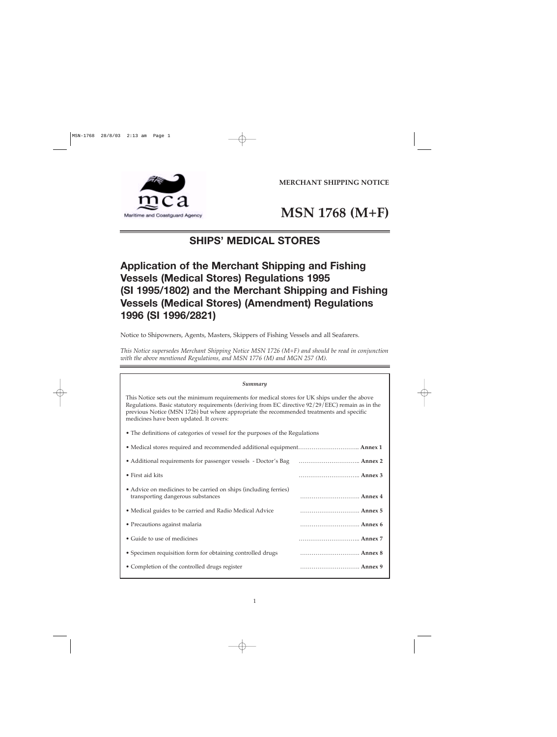**MERCHANT SHIPPING NOTICE**





# **SHIPS' MEDICAL STORES**

# **Application of the Merchant Shipping and Fishing Vessels (Medical Stores) Regulations 1995 (SI 1995/1802) and the Merchant Shipping and Fishing Vessels (Medical Stores) (Amendment) Regulations 1996 (SI 1996/2821)**

Notice to Shipowners, Agents, Masters, Skippers of Fishing Vessels and all Seafarers.

*This Notice supersedes Merchant Shipping Notice MSN 1726 (M+F) and should be read in conjunction with the above mentioned Regulations, and MSN 1776 (M) and MGN 257 (M).* 

### *Summary*

This Notice sets out the minimum requirements for medical stores for UK ships under the above Regulations. Basic statutory requirements (deriving from EC directive 92/29/EEC) remain as in the previous Notice (MSN 1726) but where appropriate the recommended treatments and specific medicines have been updated. It covers:

• The definitions of categories of vessel for the purposes of the Regulations

| • Medical stores required and recommended additional equipment Annex 1 |         |
|------------------------------------------------------------------------|---------|
|                                                                        |         |
| • First aid kits                                                       | Annex 3 |
| • Advice on medicines to be carried on ships (including ferries)       |         |
| transporting dangerous substances                                      | Annex 4 |
| • Medical guides to be carried and Radio Medical Advice                | Annex 5 |
| • Precautions against malaria                                          | Annex 6 |
| • Guide to use of medicines                                            | Annex 7 |
| • Specimen requisition form for obtaining controlled drugs             | Annex 8 |
| • Completion of the controlled drugs register                          | Annex 9 |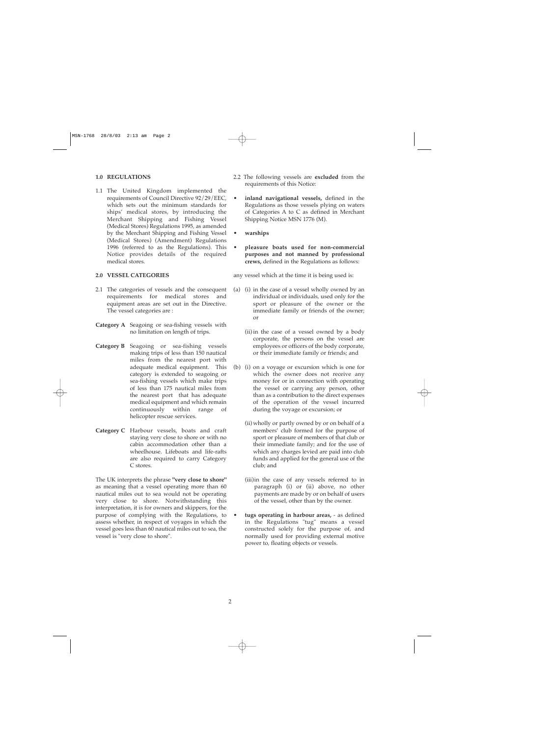### **1.0 REGULATIONS**

1.1 The United Kingdom implemented the requirements of Council Directive 92/29/EEC, which sets out the minimum standards for ships' medical stores, by introducing the Merchant Shipping and Fishing Vessel (Medical Stores) Regulations 1995, as amended by the Merchant Shipping and Fishing Vessel (Medical Stores) (Amendment) Regulations 1996 (referred to as the Regulations). This Notice provides details of the required medical stores.

### **2.0 VESSEL CATEGORIES**

- 2.1 The categories of vessels and the consequent requirements for medical stores and equipment areas are set out in the Directive. The vessel categories are :
- **Category A** Seagoing or sea-fishing vessels with no limitation on length of trips.
- **Category B** Seagoing or sea-fishing vessels making trips of less than 150 nautical miles from the nearest port with adequate medical equipment. This category is extended to seagoing or sea-fishing vessels which make trips of less than 175 nautical miles from the nearest port that has adequate medical equipment and which remain continuously within range of helicopter rescue services.
- **Category C** Harbour vessels, boats and craft staying very close to shore or with no cabin accommodation other than a wheelhouse. Lifeboats and life-rafts are also required to carry Category C stores.

The UK interprets the phrase **"very close to shore"** as meaning that a vessel operating more than 60 nautical miles out to sea would not be operating very close to shore. Notwithstanding this interpretation, it is for owners and skippers, for the purpose of complying with the Regulations, to assess whether, in respect of voyages in which the vessel goes less than 60 nautical miles out to sea, the vessel is "very close to shore".

- 2.2 The following vessels are **excluded** from the requirements of this Notice:
- **inland navigational vessels,** defined in the Regulations as those vessels plying on waters of Categories A to C as defined in Merchant Shipping Notice MSN 1776 (M).
- **warships**
- **pleasure boats used for non-commercial purposes and not manned by professional crews,** defined in the Regulations as follows:

any vessel which at the time it is being used is:

- (a) (i) in the case of a vessel wholly owned by an individual or individuals, used only for the sport or pleasure of the owner or the immediate family or friends of the owner; or
	- (ii) in the case of a vessel owned by a body corporate, the persons on the vessel are employees or officers of the body corporate, or their immediate family or friends; and
- (b) (i) on a voyage or excursion which is one for which the owner does not receive any money for or in connection with operating the vessel or carrying any person, other than as a contribution to the direct expenses of the operation of the vessel incurred during the voyage or excursion; or
	- (ii) wholly or partly owned by or on behalf of a members' club formed for the purpose of sport or pleasure of members of that club or their immediate family; and for the use of which any charges levied are paid into club funds and applied for the general use of the club; and
	- (iii)in the case of any vessels referred to in paragraph (i) or (ii) above, no other payments are made by or on behalf of users of the vessel, other than by the owner.
	- **tugs operating in harbour areas,** as defined in the Regulations "tug" means a vessel constructed solely for the purpose of, and normally used for providing external motive power to, floating objects or vessels.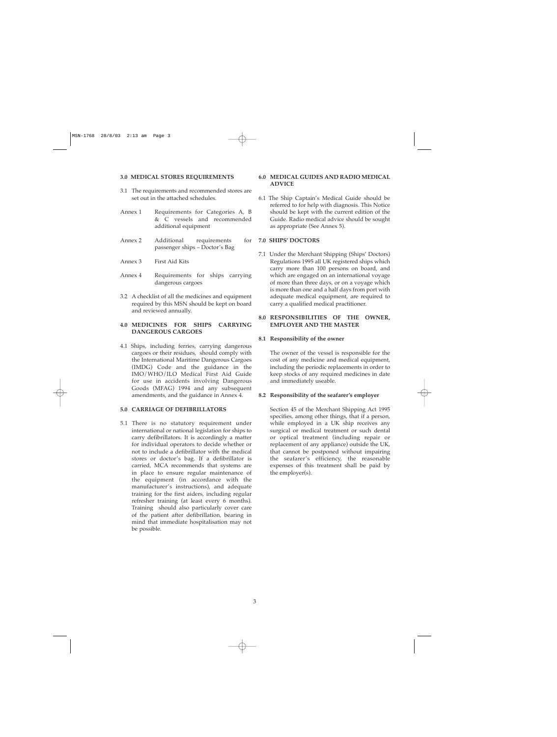### **3.0 MEDICAL STORES REQUIREMENTS**

- 3.1 The requirements and recommended stores are set out in the attached schedules.
- Annex 1 Requirements for Categories A, B & C vessels and recommended additional equipment
- Annex 2 Additional requirements for passenger ships – Doctor's Bag
- Annex 3 First Aid Kits
- Annex 4 Requirements for ships carrying dangerous cargoes
- 3.2 A checklist of all the medicines and equipment required by this MSN should be kept on board and reviewed annually.

### **4.0MEDICINES FOR SHIPS CARRYING DANGEROUS CARGOES**

4.1 Ships, including ferries, carrying dangerous cargoes or their residues, should comply with the International Maritime Dangerous Cargoes (IMDG) Code and the guidance in the IMO/WHO/ILO Medical First Aid Guide for use in accidents involving Dangerous Goods (MFAG) 1994 and any subsequent amendments, and the guidance in Annex 4.

### **5.0 CARRIAGE OF DEFIBRILLATORS**

5.1 There is no statutory requirement under international or national legislation for ships to carry defibrillators. It is accordingly a matter for individual operators to decide whether or not to include a defibrillator with the medical stores or doctor's bag. If a defibrillator is carried, MCA recommends that systems are in place to ensure regular maintenance of the equipment (in accordance with the manufacturer's instructions), and adequate training for the first aiders, including regular refresher training (at least every 6 months). Training should also particularly cover care of the patient after defibrillation, bearing in mind that immediate hospitalisation may not be possible.

### **6.0MEDICAL GUIDES AND RADIO MEDICAL ADVICE**

6.1 The Ship Captain's Medical Guide should be referred to for help with diagnosis. This Notice should be kept with the current edition of the Guide. Radio medical advice should be sought as appropriate (See Annex 5).

### **7.0 SHIPS' DOCTORS**

7.1 Under the Merchant Shipping (Ships' Doctors) Regulations 1995 all UK registered ships which carry more than 100 persons on board, and which are engaged on an international voyage of more than three days, or on a voyage which is more than one and a half days from port with adequate medical equipment, are required to carry a qualified medical practitioner.

### 8.0 RESPONSIBILITIES OF THE OWNER, **EMPLOYER AND THE MASTER**

### **8.1 Responsibility of the owner**

The owner of the vessel is responsible for the cost of any medicine and medical equipment, including the periodic replacements in order to keep stocks of any required medicines in date and immediately useable.

### **8.2 Responsibility of the seafarer's employer**

Section 45 of the Merchant Shipping Act 1995 specifies, among other things, that if a person, while employed in a UK ship receives any surgical or medical treatment or such dental or optical treatment (including repair or replacement of any appliance) outside the UK, that cannot be postponed without impairing the seafarer's efficiency, the reasonable expenses of this treatment shall be paid by the employer(s).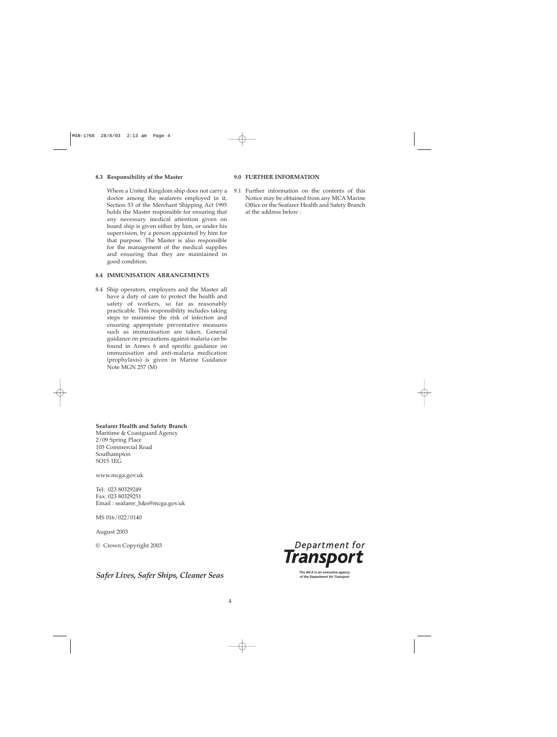### **8.3 Responsibility of the Master**

Where a United Kingdom ship does not carry a doctor among the seafarers employed in it, Section 53 of the Merchant Shipping Act 1995 holds the Master responsible for ensuring that any necessary medical attention given on board ship is given either by him, or under his supervision, by a person appointed by him for that purpose. The Master is also responsible for the management of the medical supplies and ensuring that they are maintained in good condition.

### **8.4 IMMUNISATION ARRANGEMENTS**

8.4 Ship operators, employers and the Master all have a duty of care to protect the health and safety of workers, so far as reasonably practicable. This responsibility includes taking steps to minimise the risk of infection and ensuring appropriate preventative measures such as immunisation are taken. General guidance on precautions against malaria can be found in Annex 6 and specific guidance on immunisation and anti-malaria medication (prophylaxis) is given in Marine Guidance Note MGN 257 (M)

### **9.0 FURTHER INFORMATION**

9.1 Further information on the contents of this Notice may be obtained from any MCA Marine Office or the Seafarer Health and Safety Branch at the address below :

### **Seafarer Health and Safety Branch**

Maritime & Coastguard Agency 2/09 Spring Place 105 Commercial Road Southampton SO15 1EG

www.mcga.gov.uk

Tel: 023 80329249 Fax: 023 80329251 Email : seafarer\_h&s@mcga.gov.uk

MS 016/022/0140

August 2003

© Crown Copyright 2003

# **The MCA is an executive agency Safer Ships, Cleaner Seas** *Safer* **Sexual** *Safer Chips, Cleaner Seas* **<b>of the Department for Transport**

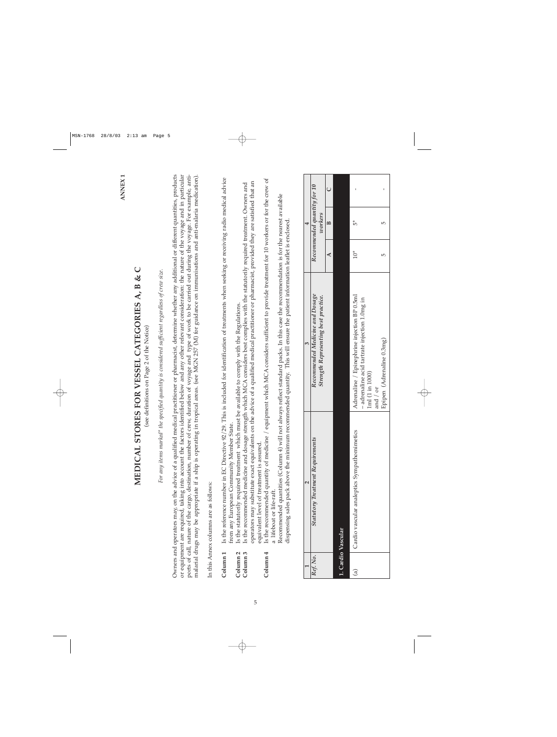|                                            |                                                                                                                                                                                                                                                                                                                                                                                                                                                                                                                                                                                                                                                           |                                                                                                                                                                                                                                                                                          |       |                                        | <b>ANNEX1</b> |
|--------------------------------------------|-----------------------------------------------------------------------------------------------------------------------------------------------------------------------------------------------------------------------------------------------------------------------------------------------------------------------------------------------------------------------------------------------------------------------------------------------------------------------------------------------------------------------------------------------------------------------------------------------------------------------------------------------------------|------------------------------------------------------------------------------------------------------------------------------------------------------------------------------------------------------------------------------------------------------------------------------------------|-------|----------------------------------------|---------------|
|                                            |                                                                                                                                                                                                                                                                                                                                                                                                                                                                                                                                                                                                                                                           | MEDICAL STORES FOR VESSEL CATEGORIES A, B & C<br>(see definitions on Page 2 of the Notice)                                                                                                                                                                                               |       |                                        |               |
|                                            |                                                                                                                                                                                                                                                                                                                                                                                                                                                                                                                                                                                                                                                           | For any items marked* the specified quantity is considered sufficient regardless of crew size.                                                                                                                                                                                           |       |                                        |               |
|                                            | Owners and operators may, on the advice of a qualified medical practitioner or pharmacist, determine whether any additional or different quantities, products<br>or equipment are required, taking into account the factors identified below and any other relevant consideration: the nature of the voyage and in particular<br>ports of call, nature of the cargo, destination, number of crew, duration of voyage and type of work to be carried out during the voyage. For example, anti-<br>malarial drugs may be appropriate if a ship is operating in tropical areas. (see MGN 257 (M) for guidance on immunisations and anti-malaria medication). |                                                                                                                                                                                                                                                                                          |       |                                        |               |
|                                            | In this Annex columns are as follows:                                                                                                                                                                                                                                                                                                                                                                                                                                                                                                                                                                                                                     |                                                                                                                                                                                                                                                                                          |       |                                        |               |
| Column <sub>1</sub>                        | from any European Community Member State.                                                                                                                                                                                                                                                                                                                                                                                                                                                                                                                                                                                                                 | Is the reference number in EC Directive 92/29. This is included for identification of treatments when seeking or receiving radio medical advice                                                                                                                                          |       |                                        |               |
| Column <sub>3</sub><br>Column <sub>2</sub> | Is the statutorily required treatment which must be available to comply with the Regulations.<br>equivalent level of treatment is assured                                                                                                                                                                                                                                                                                                                                                                                                                                                                                                                 | operators may substitute exact equivalents on the advice of a qualified medical practitioner or pharmacist, provided they are satisfied that an<br>Is the recommended medicine and dosage strength which MCA considers best complies with the statutorily required treatment. Owners and |       |                                        |               |
| Column <sub>4</sub>                        | a lifeboat or life-raft.                                                                                                                                                                                                                                                                                                                                                                                                                                                                                                                                                                                                                                  | Is the recommended quantity of medicine / equipment which MCA considers sufficient to provide treatment for 10 workers or for the crew of                                                                                                                                                |       |                                        |               |
|                                            |                                                                                                                                                                                                                                                                                                                                                                                                                                                                                                                                                                                                                                                           | Recommended quantities (Column 4) will not always reflect standard packs. In this case the recommendation is for the nearest available<br>dispensing sales pack above the minimum recommended quantity. This will ensure the patient information leaflet is enclosed.                    |       |                                        |               |
|                                            |                                                                                                                                                                                                                                                                                                                                                                                                                                                                                                                                                                                                                                                           |                                                                                                                                                                                                                                                                                          |       | 4                                      |               |
| Ref. No.                                   | <b>Statutory Treatment Requirements</b>                                                                                                                                                                                                                                                                                                                                                                                                                                                                                                                                                                                                                   | Recommended Medicine and Dosage<br>Strength Representing best practice.                                                                                                                                                                                                                  |       | Recommended quantity for 10<br>workers |               |
|                                            |                                                                                                                                                                                                                                                                                                                                                                                                                                                                                                                                                                                                                                                           |                                                                                                                                                                                                                                                                                          | ⋖     | $\mathbf{B}$                           | $\cup$        |
|                                            | 1. Cardio Vascular                                                                                                                                                                                                                                                                                                                                                                                                                                                                                                                                                                                                                                        |                                                                                                                                                                                                                                                                                          |       |                                        |               |
| $\widehat{a}$                              | Cardio vascular analeptics Sympathomimetics                                                                                                                                                                                                                                                                                                                                                                                                                                                                                                                                                                                                               | Adrenaline / Epinephrine injection BP 0.5ml<br>- adrenaline acid tartrate injection 1.0mg in<br>1ml (1 in 1000)                                                                                                                                                                          | $10*$ | $_5^*$                                 |               |
|                                            |                                                                                                                                                                                                                                                                                                                                                                                                                                                                                                                                                                                                                                                           | Epipen (Adrenaline 0.3mg)<br>and / or                                                                                                                                                                                                                                                    | 5     | 5                                      |               |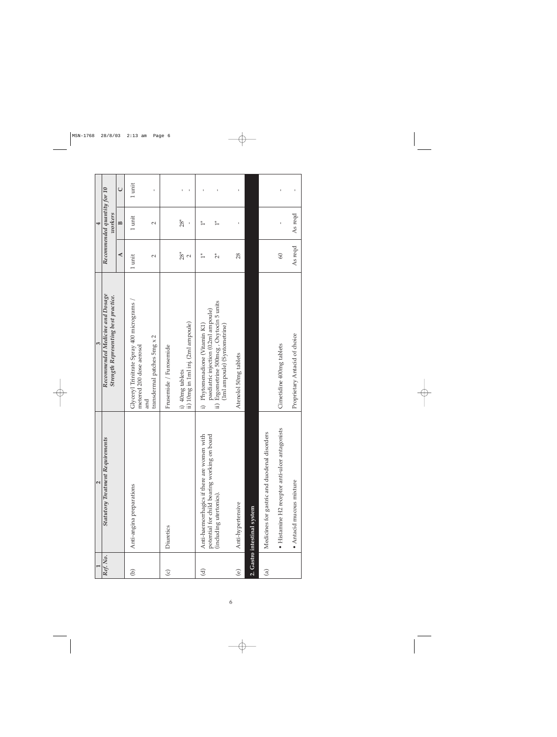|                        | $\sim$                                                                                     | $\epsilon$                                                                              |                      | 4                                      |                   |
|------------------------|--------------------------------------------------------------------------------------------|-----------------------------------------------------------------------------------------|----------------------|----------------------------------------|-------------------|
| Ref. No.               | <b>Statutory Treatment Requirements</b>                                                    | Recommended Medicine and Dosage<br>Strength Representing best practice.                 |                      | Recommended quantity for 10<br>workers |                   |
|                        |                                                                                            |                                                                                         | $\blacktriangleleft$ | $\mathbf{p}$                           | $\cup$            |
| $\bigcirc$             | Anti-angina preparations                                                                   | Glyceryl Trinitrate Spray 400 micrograms<br>metered 200 dose aerosol                    | 1 unit               | 1 unit                                 | 1 unit            |
|                        |                                                                                            | transdermal patches 5mg x 2<br>and                                                      | $\sim$               | $\sim$                                 | ı                 |
| $\odot$                | Diuretics                                                                                  | Frusemide / Furosemide                                                                  |                      |                                        |                   |
|                        |                                                                                            | ii) 10mg in 1ml inj. (2ml ampoule)<br>i) 40mg tablets                                   | $28*$<br>$\sim$      | $28*$<br>ı                             | $\mathbf{I}$<br>٠ |
| $\widehat{\mathbf{c}}$ | potential for child bearing working on board<br>Anti-haemorrhagics if there are women with | paediatric injection (0.2ml ampoule)<br>i) Phytomenadione (Vitamin K1)                  | $\frac{*}{1}$        | $\frac{*}{1}$                          | 1                 |
|                        | (including utertonics).                                                                    | Ergometrine 500mcg, Oxytocin 5 units<br>(1ml ampoule) (Syntometrine)<br>$\overline{ii}$ | $\tilde{c}$          | $\frac{*}{1}$                          |                   |
| $\circledcirc$         | Anti-hypertensive                                                                          | Atenolol 50mg tablets                                                                   | 28                   |                                        | ı                 |
|                        | 2. Gastro intestinal system                                                                |                                                                                         |                      |                                        |                   |
| $\widehat{\mathbf{e}}$ | Medicines for gastric and duodenal disorders                                               |                                                                                         |                      |                                        |                   |
|                        | · Histamine H2 receptor anti-ulcer antagonists                                             | Cimetidine 400mg tablets                                                                | $\infty$             |                                        | ı                 |
|                        | • Antacid mucous mixture                                                                   | Proprietary Antacid of choice                                                           | As reqd              | As reqd                                | ı                 |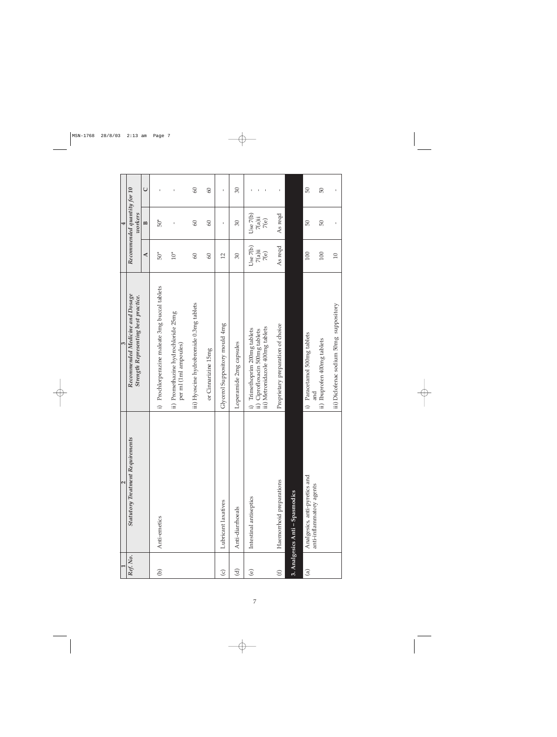|                         | $\sim$                                                    | $\epsilon$                                                                                           |                               | $\overline{a}$                         |              |
|-------------------------|-----------------------------------------------------------|------------------------------------------------------------------------------------------------------|-------------------------------|----------------------------------------|--------------|
| Ref. No.                | <b>Statutory Treatment Requirements</b>                   | Recommended Medicine and Dosage<br>Strength Representing best practice.                              |                               | Recommended quantity for 10<br>workers |              |
|                         |                                                           |                                                                                                      | ◀                             | $\mathbf{p}$                           | $\cup$       |
| $\bigcirc$              | Anti-emetics                                              | i) Prochlorperazine maleate 3mg buccal tablets                                                       | $50*$                         | $50*$                                  | $\mathbf{I}$ |
|                         |                                                           | ii) Promethazine hydrochloride 25mg<br>per ml (1ml ampoules)                                         | $10^*$                        | $\mathbf{I}$                           | ı            |
|                         |                                                           | iii) Hyoscine hydrobromide 0.3mg tablets                                                             | $\infty$                      | $\infty$                               | $\odot$      |
|                         |                                                           | or Cinnarizine 15mg                                                                                  | $\infty$                      | $\overline{60}$                        | $\infty$     |
| $\odot$                 | Lubricant laxatives                                       | Glycerol Suppository mould 4mg                                                                       | $\overline{2}$                | ı                                      | ı            |
| $\widehat{\mathcal{C}}$ | Anti-diarrhoeals                                          | Loperamide 2mg capsules                                                                              | $\infty$                      | $\overline{\mathrm{30}}$               | $\infty$     |
| $\odot$                 | Intestinal antiseptics                                    | iii) Metronidazole 400mg tablets<br>i) Trimethoprim 200mg tablets<br>ii) Ciprofloxacin 500mg tablets | Use 7(b)<br>$7(a)$ ii<br>7(e) | Use 7(b)<br>$7(a)$ ii<br>7(e)          | J.           |
| $\bigoplus$             | Haemorrhoid preparations                                  | Proprietary preparation of choice                                                                    | As reqd                       | As reqd                                |              |
|                         | 3. Analgesics Anti - Spasmodics                           |                                                                                                      |                               |                                        |              |
| $\widehat{\mathbb{G}}$  | Analgesics, anti-pyretics and<br>anti-inflammatory agents | Paracetamol 500mg tablets<br>and<br>$\hat{r}$                                                        | 100                           | 50                                     | 50           |
|                         |                                                           | ii) Ibuprofen 400mg tablets                                                                          | 100                           | 50                                     | 50           |
|                         |                                                           | iii) Diclofenac sodium 50mg suppository                                                              | $\overline{10}$               | $\mathsf I$                            | $\mathbf I$  |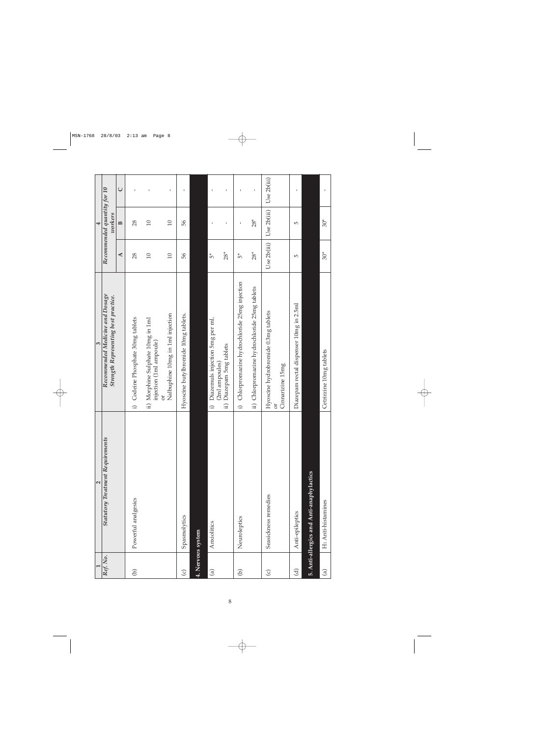|                        | 2                                        | $\infty$                                                                                                                 |                           | $\overline{a}$                         |             |
|------------------------|------------------------------------------|--------------------------------------------------------------------------------------------------------------------------|---------------------------|----------------------------------------|-------------|
| Ref. No.               | <b>Statutory Treatment Requirements</b>  | Recommended Medicine and Dosage<br>Strength Representing best practice.                                                  |                           | Recommended quantity for 10<br>workers |             |
|                        |                                          |                                                                                                                          | ₹                         | $\mathbf{B}$                           | $\cup$      |
| $\Theta$               | Powerful analgesics                      | i) Codeine Phosphate 30mg tablets                                                                                        | 28                        | 28                                     | ı           |
|                        |                                          | ii) Morphine Sulphate 10mg in 1ml<br>injection (1ml ampoule)                                                             | $\overline{10}$           | $\Box$                                 | ı           |
|                        |                                          | Nalbuphine 10mg in 1ml injection<br>ð                                                                                    | $\Box$                    | $\Box$                                 | $\mathbf I$ |
| $\odot$                | Spasmolytics                             | Hyoscine butylbromide 10mg tablets.                                                                                      | 99                        | 99                                     | ı           |
| 4. Nervous system      |                                          |                                                                                                                          |                           |                                        |             |
| $\widehat{a}$          | Anxiolitics                              | Diazemuls injection 5mg per ml,<br>Diazepam 5mg tablets<br>(2ml ampoules)<br>$\widehat{\mathbf{H}}$<br>$\widehat{\cdot}$ | $28*$<br>$\mathfrak{s}^*$ | ı<br>$\blacksquare$                    | ı<br>J.     |
| $\widehat{\Theta}$     | Neuroleptics                             | i) Chlorpromazine hydrochloride 25mg injection                                                                           | مًا<br>م                  | ٠                                      | I.          |
|                        |                                          | ii) Chlorpromazine hydrochloride 25mg tablets                                                                            | $28*$                     | $28*$                                  | $\mathbf I$ |
| $\odot$                | Seasidcness remedies                     | Hyoscine hydrobromide 0.3mg tablets<br>Cinnarizine 15mg<br>ð                                                             | Use 2b(iii)               | Use 2b(iii)                            | Use 2b(iii) |
| <u>ਰ</u>               | Anti-epileptics                          | Diazepam rectal dispenser 10mg in 2.5ml                                                                                  | $\overline{5}$            | $\overline{5}$                         | I.          |
|                        | 5. Anti-allergics and Anti-anaphylactics |                                                                                                                          |                           |                                        |             |
| $\widehat{\mathbb{G}}$ | H <sub>1</sub> Anti-histamines           | Cetrirzine 10mg tablets                                                                                                  | $30*$                     | $30*$                                  | $\mathbf I$ |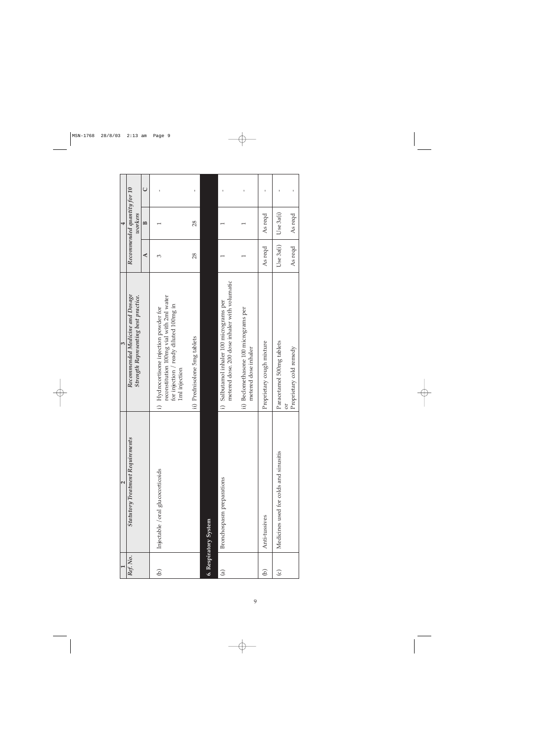|                        | 2                                       | $\epsilon$                                                                                                                                    |           | 4                                      |              |
|------------------------|-----------------------------------------|-----------------------------------------------------------------------------------------------------------------------------------------------|-----------|----------------------------------------|--------------|
| Ref. No.               | <b>Statutory Treatment Requirements</b> | Recommended Medicine and Dosage<br>Strength Representing best practice.                                                                       |           | Recommended quantity for 10<br>workers |              |
|                        |                                         |                                                                                                                                               | ⋖         | $\mathbf{p}$                           | $\cup$       |
| G)                     | Injectable / oral glucocorticoids       | reconstitution 100mg vial with 2ml water<br>for injection / ready diluted 100mg in<br>i) Hydrocortisone injection powder for<br>1ml injection | ε         |                                        | $\mathbf{I}$ |
|                        |                                         | ii) Prednisolone 5mg tablets                                                                                                                  | 28        | 28                                     | ı            |
|                        | 6. Respiratory System                   |                                                                                                                                               |           |                                        |              |
| $\widehat{\mathbf{e}}$ | Bronchospasm preparations               | metered dose. 200 dose inhaler with volumatic<br>i) Salbutamol inhaler 100 micrograms per                                                     |           |                                        | ı            |
|                        |                                         | ii) Beclomethasone 100 micrograms per<br>metered dose inhaler                                                                                 |           |                                        |              |
| Э                      | Anti-tussives                           | Proprietary cough mixture                                                                                                                     | As reqd   | As reqd                                | ı            |
| $\odot$                | Medicines used for colds and sinusitis  | Paracetamol 500mg tablets<br>ð                                                                                                                | Use 3a(i) | Use 3a(i)                              |              |
|                        |                                         | Proprietary cold remedy                                                                                                                       | As reqd   | As reqd                                |              |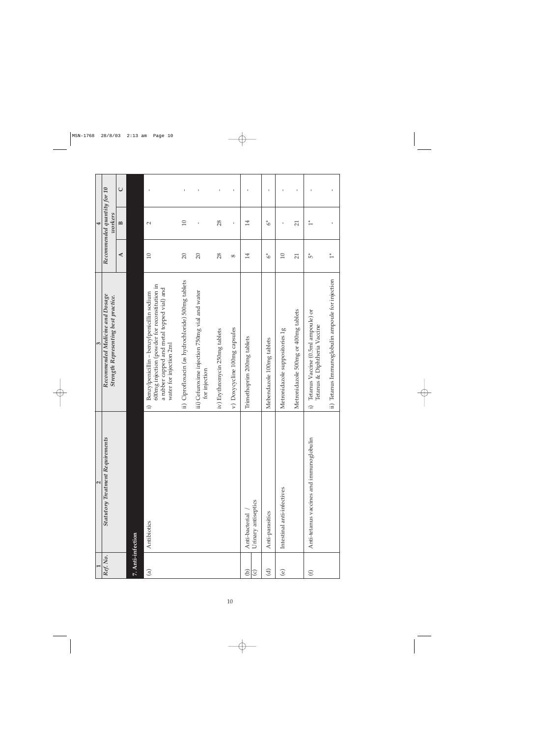|                             | $\mathbf{\Omega}$                        | $\mathbf{c}$                                                                                                                                                                      |                      | $\overline{\mathbf{r}}$                |              |
|-----------------------------|------------------------------------------|-----------------------------------------------------------------------------------------------------------------------------------------------------------------------------------|----------------------|----------------------------------------|--------------|
| Ref. No.                    | <b>Statutory Treatment Requirements</b>  | Recommended Medicine and Dosage<br>Strength Representing best practice.                                                                                                           |                      | Recommended quantity for 10<br>workers |              |
|                             |                                          |                                                                                                                                                                                   | $\blacktriangleleft$ | $\mathbf{B}$                           | $\cup$       |
| 7. Anti-infection           |                                          |                                                                                                                                                                                   |                      |                                        |              |
| $\widehat{a}$               | Antibiotics                              | 600mg injection (powder for reconstitution in<br>a rubber capped and metal topped vial) and<br>Benzylpenicillin - benzylpenicillin sodium<br>water for injection 2ml<br>$\hat{r}$ | 10                   | $\mathbf{\sim}$                        | $\mathbf I$  |
|                             |                                          | ii) Ciprofloxacin (as hydrochloride) 500mg tablets                                                                                                                                | $\Omega$             | 10                                     | 1            |
|                             |                                          | iii) Cefuroxime injection 750mg vial and water<br>for injection                                                                                                                   | $\overline{20}$      |                                        | J.           |
|                             |                                          | iv) Erythromycin 250mg tablets                                                                                                                                                    | 28                   | 28                                     | 1            |
|                             |                                          | v) Doxycycline 100mg capsules                                                                                                                                                     | $^{\circ}$           | ı                                      | 1            |
| ව<br>$\mathbf{\widehat{c}}$ | Urinary antiseptics<br>Anti-bacterial    | Trimethoprim 200mg tablets                                                                                                                                                        | 14                   | 14                                     | $\mathbf{I}$ |
| <u>ਰ</u>                    | Anti-parasitics                          | Mebendazole 100mg tablets                                                                                                                                                         | $\delta^*$           | $\sigma^*$                             | $\mathbf I$  |
| $\odot$                     | Intestinal anti-infectives               | Metronidazole suppositories 1g                                                                                                                                                    | $\Box$               | ı                                      |              |
|                             |                                          | Metronidazole 500mg or 400mg tablets                                                                                                                                              | $\overline{21}$      | $\overline{21}$                        | $\mathbf I$  |
| $\bigoplus$                 | Anti-tetanus vaccines and immunoglobulin | Tetanus Vaccine (0.5ml ampoule) or<br>Tetanus & Diphtheria Vaccine<br>$\widehat{r}$                                                                                               | ξ,                   | $\ddot{ }$                             | ı            |
|                             |                                          | ii) Tetanus Immunoglobulin ampoule for injection                                                                                                                                  | $\frac{*}{1}$        |                                        |              |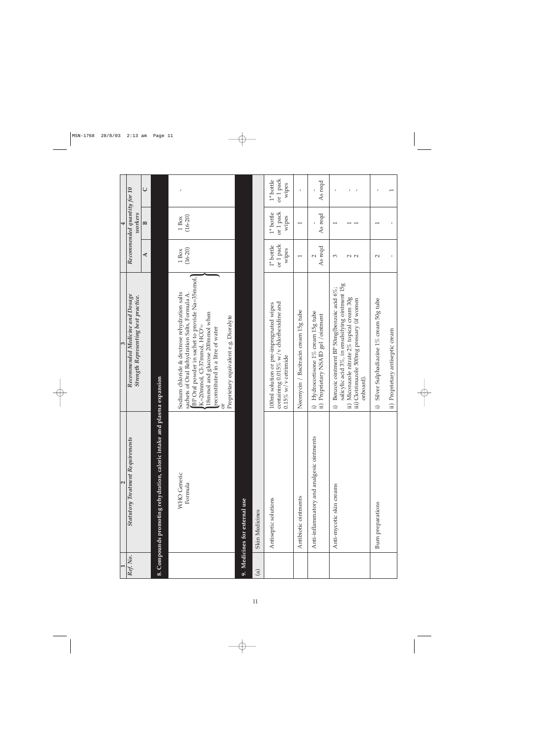|            | 2                                                                       | m                                                                                                                                                                                                                                                                                                           |                                   | 4                                          |                                   |
|------------|-------------------------------------------------------------------------|-------------------------------------------------------------------------------------------------------------------------------------------------------------------------------------------------------------------------------------------------------------------------------------------------------------|-----------------------------------|--------------------------------------------|-----------------------------------|
| Ref. No.   | <b>Statutory Treatment Requirements</b>                                 | Recommended Medicine and Dosage<br>Strength Representing best practice.                                                                                                                                                                                                                                     |                                   | Recommended quantity for 10<br>workers     |                                   |
|            |                                                                         |                                                                                                                                                                                                                                                                                                             | ⋖                                 | B                                          | $\cup$                            |
|            | 8. Compounds promoting rehydration, caloric intake and plasma expansion |                                                                                                                                                                                                                                                                                                             |                                   |                                            |                                   |
|            | <b>WHO</b> Generic<br>Formula                                           | BP Oral powder in sachet to provide Na=35mmol,<br>Sodium chloride & dextrose rehydration salts<br>sachets of Oral Rehydration Salts, Formula A.<br>18mmol and glucose 200mmol when<br>Proprietary equivalent e.g. Dioralyte<br>K=20mmol, Cl-37mmol, HCO <sup>3</sup> =<br>reconstituted in a litre of water | $(16 - 20)$<br>1 Box              | $(16 - 20)$<br>1 <sub>Box</sub>            |                                   |
|            | 9. Medicines for external use                                           |                                                                                                                                                                                                                                                                                                             |                                   |                                            |                                   |
| $\bigcirc$ | <b>Skin Medicines</b>                                                   |                                                                                                                                                                                                                                                                                                             |                                   |                                            |                                   |
|            | Antiseptic solutions                                                    | containing 0.015% w/v chlorhexidine and<br>100ml solution or pre-impregnated wipes<br>$0.15\%$ w/v cetrimide                                                                                                                                                                                                | or 1 pack<br>$1*$ bottle<br>wipes | or 1 pack<br>$1*$ bottle<br>wipes          | or 1 pack<br>$1*$ bottle<br>wipes |
|            | Antibiotic ointments                                                    | Neomycin / Bacitracin cream 15g tube                                                                                                                                                                                                                                                                        | $\overline{ }$                    | I                                          | $\mathbf{I}$                      |
|            | Anti-inflammatory and analgesic ointments                               | i) Hydrocortisone 1% cream 15g tube<br>Proprietary NSAID gel / ointment<br>$\hat{p}$                                                                                                                                                                                                                        | As reqd<br>$\mathbf{\sim}$        | As reqd                                    | As reqd                           |
|            | Anti-mycotic skin creams                                                | salicylic acid 3%, in emulsifying ointment 15g<br>Benzoic ointment BP 50mg(benzoic acid 6%;<br>ii) Miconazole nitrate 2% topical cream 30g<br>iii) Clotrimazole 500mg pressary (if women<br>onboard).<br>$\hat{r}$                                                                                          | 3<br>2<br>2                       | $\overline{\phantom{0}}$<br>$\overline{ }$ |                                   |
|            | <b>Burn</b> preparations                                                | Silver Sulphadiazine 1% cream 50g tube<br>$\hat{r}$                                                                                                                                                                                                                                                         | $\mathbf{\sim}$                   | I                                          | I                                 |
|            |                                                                         | ii) Proprietary antiseptic cream                                                                                                                                                                                                                                                                            |                                   |                                            | 1                                 |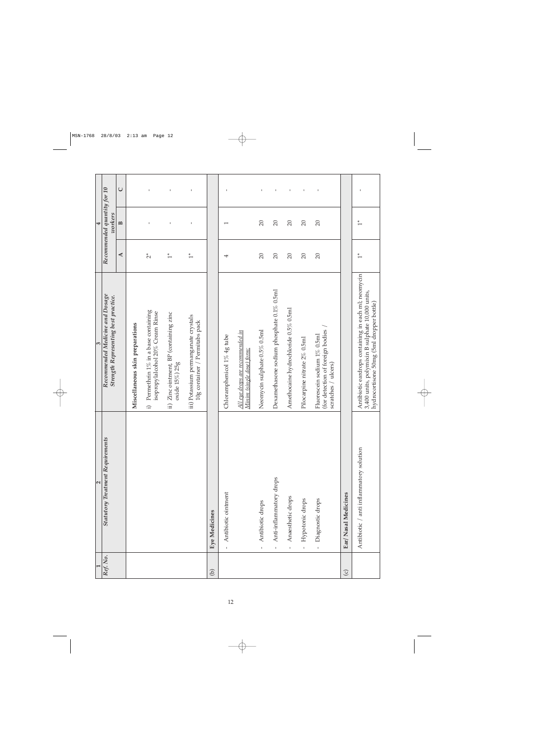|          | $\mathbf{\Omega}$                       | $\overline{\mathcal{E}}$                                                                                                                           |                      | 4                                      |              |
|----------|-----------------------------------------|----------------------------------------------------------------------------------------------------------------------------------------------------|----------------------|----------------------------------------|--------------|
| Ref. No. | <b>Statutory Treatment Requirements</b> | Recommended Medicine and Dosage<br>Strength Representing best practice.                                                                            |                      | Recommended quantity for 10<br>workers |              |
|          |                                         |                                                                                                                                                    | $\blacktriangleleft$ | B                                      | $\cup$       |
|          |                                         | Miscellaneous skin preparations                                                                                                                    |                      |                                        |              |
|          |                                         | i) Permethrin $1\%$ in a base containing<br>isopropylalcohol 20% Cream Rinse                                                                       | $\tilde{C}^*$        |                                        | I.           |
|          |                                         | Zinc ointment, BP (containing zinc<br>oxide 15%) 25g<br>$\widehat{\mathbf{H}}$                                                                     | $\ddot{ }$           |                                        | τ.           |
|          |                                         | iii) Potassium permanganate crystals<br>10g container / Permitabs pack                                                                             | $\ddot{ }$           |                                        | $\mathbf{I}$ |
| $\Theta$ | <b>Eye Medicines</b>                    |                                                                                                                                                    |                      |                                        |              |
|          | Antibiotic ointment<br>$\mathbf{I}$     | Chloramphenicol 1% 4g tube                                                                                                                         | 4                    | $\overline{\phantom{0}}$               | $\mathbf{I}$ |
|          |                                         | All eye drops are recommended in<br>Minim (single dose) form                                                                                       |                      |                                        |              |
|          | Antibiotic drops<br>$\bar{1}$           | Neomycin sulphate 0.5% 0.5ml                                                                                                                       | $\Omega$             | $\Omega$                               | $\mathbf{I}$ |
|          | Anti-inflammatory drops<br>$\mathbf{I}$ | Dexamethasone sodium phosphate 0.1% 0.5ml                                                                                                          | $\overline{20}$      | $\overline{20}$                        | $\mathbf{I}$ |
|          | Anaesthetic drops<br>$\mathbf{I}$       | Amethocaine hydrochloride 0.5% 0.5ml                                                                                                               | $\Omega$             | $\overline{20}$                        | $\mathbf{I}$ |
|          | Hypotonic drops<br>$\mathbf{I}$         | Pilocarpine nitrate 2% 0.5ml                                                                                                                       | $\overline{20}$      | $\Omega$                               | $\mathbf I$  |
|          | Diagnostic drops<br>$\mathbf{t}$        | (for detection of foreign bodies<br>Fluorescein sodium 1% 0.5ml<br>scratches / ulcers)                                                             | $\overline{20}$      | $\overline{20}$                        |              |
| $\odot$  | Ear/ Nasal Medicines                    |                                                                                                                                                    |                      |                                        |              |
|          | Antibiotic / anti inflammatory solution | Antibiotic eardrops containing in each ml; neomycin<br>3,400 units, polymixin B sulphate 10,000 units,<br>hydrocortisone 50mg (5ml dropper bottle) | $\ddot{ }$           | $\ddot{1}$                             | J            |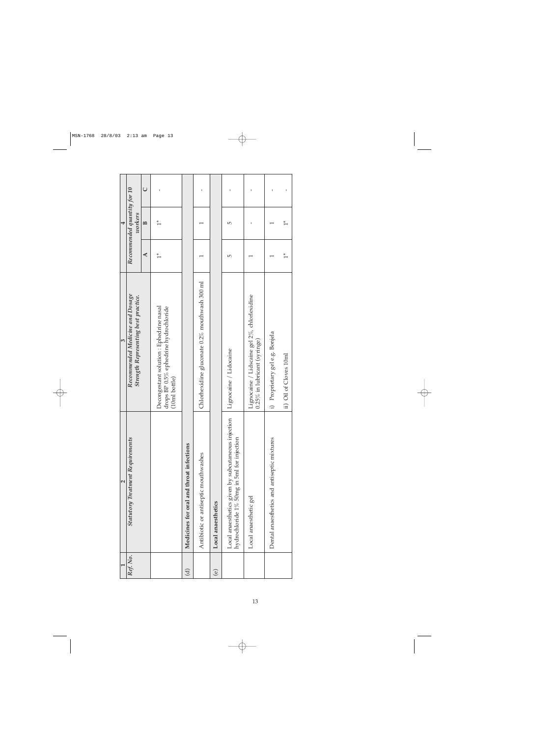|                        | $\mathbf{\Omega}$                                                                                | 3                                                                                                      |               | 4                                      |        |
|------------------------|--------------------------------------------------------------------------------------------------|--------------------------------------------------------------------------------------------------------|---------------|----------------------------------------|--------|
| Ref. No.               | <b>Statutory Treatment Requirements</b>                                                          | Recommended Medicine and Dosage<br>Strength Representing best practice.                                |               | Recommended quantity for 10<br>workers |        |
|                        |                                                                                                  |                                                                                                        | ₹             | $\mathbf{p}$                           | $\cup$ |
|                        |                                                                                                  | Decongestant solution : Ephedrine nasal<br>drops BP 0.5% ephedrine hydrochloride<br>$(10ml$ bottle $)$ | $\frac{*}{1}$ | $\frac{*}{1}$                          |        |
| $\widehat{\mathbf{c}}$ | Medicines for oral and throat infections                                                         |                                                                                                        |               |                                        |        |
|                        | Antibiotic or antiseptic mouthwashes                                                             | Chlorhexidine gluconate $0.2\%$ mouthwash 300 ml                                                       |               |                                        |        |
| $\circlede$            | Local anaesthetics                                                                               |                                                                                                        |               |                                        |        |
|                        | Local anaesthetics given by subcutaneous injection<br>hydrochloride 1% 50mg in 5ml for injection | Lignocaine / Lidocaine                                                                                 | 5             | 5                                      |        |
|                        | Local anaesthetic gel                                                                            | Lignocaine / Lidscaine gel 2%, chlorlexidine<br>$0.25\%$ in lubricant (syringe)                        |               |                                        |        |
|                        | Dental anaesthetics and antiseptic mixtures                                                      | i) Proprietary gel e.g. Bonjela                                                                        |               |                                        |        |
|                        |                                                                                                  | ii) Oil of Cloves 10ml                                                                                 | $\ddot{1}$    | $\frac{*}{1}$                          |        |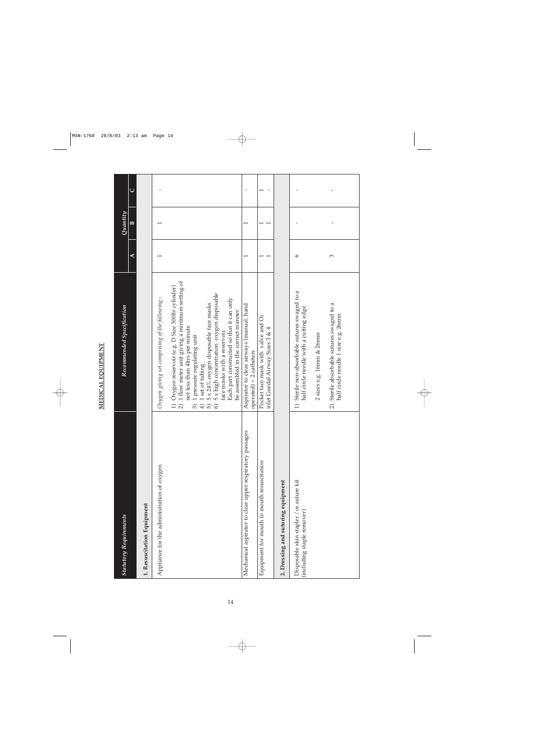| Í                 |  |
|-------------------|--|
| ֧֦ׅ֠֞֡֡֡֡֡֡֡֡֡֡֡֡ |  |
|                   |  |
|                   |  |
|                   |  |
|                   |  |
|                   |  |
|                   |  |
|                   |  |
|                   |  |
|                   |  |
|                   |  |
|                   |  |
|                   |  |
|                   |  |
|                   |  |
|                   |  |

| <b>Statutory Requirements</b>                                         | Recommended Specification                                                                                                                                                                                                                                                                                                                                                                                                                                               |         | Quantity     |              |
|-----------------------------------------------------------------------|-------------------------------------------------------------------------------------------------------------------------------------------------------------------------------------------------------------------------------------------------------------------------------------------------------------------------------------------------------------------------------------------------------------------------------------------------------------------------|---------|--------------|--------------|
|                                                                       |                                                                                                                                                                                                                                                                                                                                                                                                                                                                         | ⋖       | $\mathbf{p}$ | $\cup$       |
| 1. Resuscitation Equipment                                            |                                                                                                                                                                                                                                                                                                                                                                                                                                                                         |         |              |              |
| Appliance for the administration of oxygen                            | Oxygen giving set comprising of the following:-                                                                                                                                                                                                                                                                                                                                                                                                                         |         |              |              |
|                                                                       | 1 flow meter unit giving a minimum setting of<br>1) Oxygen reservoir (e.g. D Size 300ltr cylinder)<br>5 x high concentration oxygen disposable<br>Each part constructed so that it can only<br>5 x 24% oxygen disposable face masks<br>be assembled in the correct manner<br>not less than 4ltrs per minute<br>face masks with a reservoir.<br>1 pressure regulating unit<br>1 set of tubing<br>$\widehat{2}$<br>$\widehat{\circ}$<br>6<br>$\widehat{5}$<br>$\bigoplus$ |         |              |              |
| Mechanical aspirator to clear upper respiratory passages              | Aspirator to clear airways (manual, hand<br>$operated) + 2 catheters$                                                                                                                                                                                                                                                                                                                                                                                                   |         | I            | $\mathbf{I}$ |
| Equipment for mouth to mouth resuscitation                            | Pocket face mask with valve and O <sub>2</sub><br>inlet Guedal Airway Sizes 3 & 4                                                                                                                                                                                                                                                                                                                                                                                       |         | ٣            |              |
| 2. Dressing and suturing equipment                                    |                                                                                                                                                                                                                                                                                                                                                                                                                                                                         |         |              |              |
| Disposable skin stapler / or suture kit<br>(including staple remover) | Sterile non-absorbable sutures swaged to a<br>half circle needle with a cutting edge<br>$\widehat{=}$                                                                                                                                                                                                                                                                                                                                                                   | $\circ$ |              | $\mathbf{I}$ |
|                                                                       | 2 sizes e.g. 16mm & 26mm                                                                                                                                                                                                                                                                                                                                                                                                                                                |         |              |              |
|                                                                       | Sterile absorbable sutures swaged to a<br>half circle needle 1 size e.g. 26mm<br>$\widehat{\mathcal{L}}$                                                                                                                                                                                                                                                                                                                                                                | ξ       | I            |              |
|                                                                       |                                                                                                                                                                                                                                                                                                                                                                                                                                                                         |         |              |              |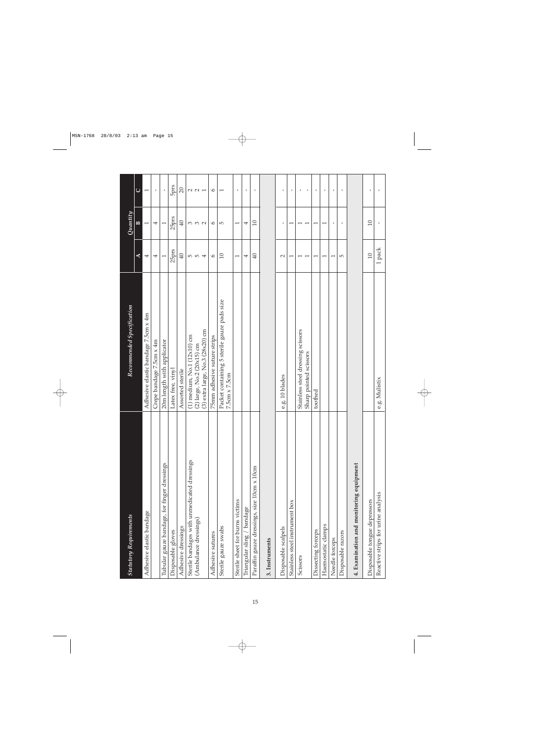| <b>Statutory Requirements</b>               | Recommended Specification                                           |                          | Quantity                 |                             |
|---------------------------------------------|---------------------------------------------------------------------|--------------------------|--------------------------|-----------------------------|
|                                             |                                                                     | $\blacktriangleleft$     | $\mathbf{z}$             | $\cup$                      |
| Adhesive elastic bandage                    | Adhesive elastic bandage 7.5cm x 4m                                 | 4                        | $\overline{ }$           | $\overline{ }$              |
|                                             | Crepe bandage 7.5cm x 4m                                            | 4                        | 4                        | $\mathbf I$                 |
| Tubular gauze bandage, for finger dressings | 20m length with applicator                                          | I                        | I                        | $\mathbf I$                 |
| Disposable gloves                           | Latex free, vinyl                                                   | 25prs                    | 25prs                    | <b>Sprs</b>                 |
| Adhesive dressings                          | Assorted sterile                                                    | $\overline{40}$          | 40                       | $\overline{20}$             |
| Sterile bandages with unmedicated dressings | $(1)$ medium, No.1 $(12x10)$ cm                                     |                          | 3                        |                             |
| (Ambulance dressings)                       | (2) large, No.2 (20x15) cm                                          | ro ro                    | $\mathcal{C}$            | $\sim$ $\sim$               |
|                                             | (3) extra large, No.3 (28x20) cm                                    | $\overline{\mathcal{A}}$ | $\sim$                   | $\overline{ }$              |
| Adhesive sutures                            | 75mm adhesive suture strips                                         | $\circ$                  | $\circ$                  | $\circ$                     |
| Sterile gauze swabs                         | Packet containing 5 sterile gauze pads size<br>$7.5cm \times 7.5cm$ | $\Omega$                 | $\overline{5}$           | $\overline{ }$              |
| Sterile sheet for burns victims             |                                                                     | $\overline{ }$           | $\overline{\phantom{0}}$ | $\mathbf I$                 |
| Triangular sling / bandage                  |                                                                     | 4                        | 4                        | 1                           |
| Paraffin gauze dressings, size 10cm x 10cm  |                                                                     | $\overline{40}$          | $\Box$                   | $\mathbf I$                 |
| 3. Instruments                              |                                                                     |                          |                          |                             |
| Disposable scalpels                         | e.g. 10 blades                                                      | $\sim$                   | ٠                        | ı.                          |
| Stainless steel instrument box              |                                                                     | $\overline{ }$           | $\overline{ }$           | $\mathbf{I}$                |
| Scissors                                    | Stainless steel dressing scissors<br>Sharp pointed scissors         |                          |                          | $\mathbf{I}$<br>$\mathbf I$ |
| Dissecting forceps                          | toothed                                                             | $\overline{\phantom{0}}$ | $\overline{\phantom{0}}$ | ٠                           |
| Haemostatic clamps                          |                                                                     | $\overline{\phantom{0}}$ | $\overline{\phantom{0}}$ | $\mathbf I$                 |
| Needle forceps                              |                                                                     | $\overline{\phantom{0}}$ | ٠                        | ٠                           |
| Disposable razors                           |                                                                     | $\overline{5}$           | $\mathbf I$              | 1                           |
| 4. Examination and monitoring equipment     |                                                                     |                          |                          |                             |
| Disposable tongue depressors                |                                                                     | $\Box$                   | $\Box$                   | $\mathbf I$                 |
| Reactive strips for urine analysis          | e.g. Mulistix                                                       | 1 pack                   | $\mathbf I$              | $\mathbf I$                 |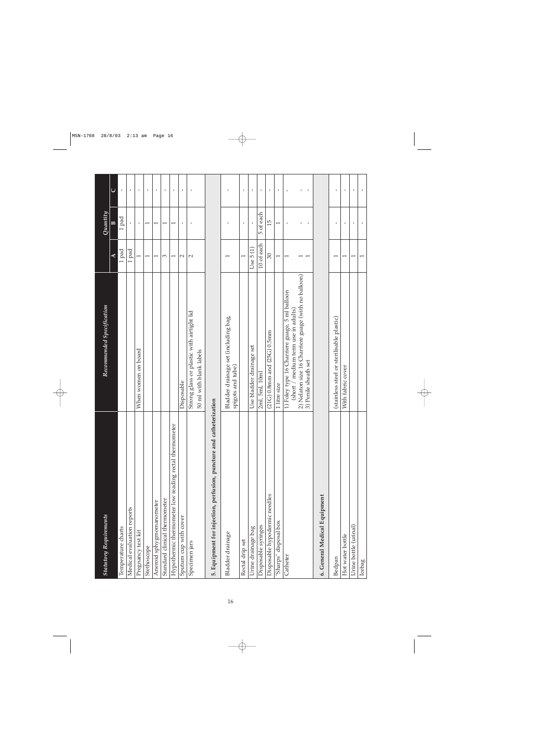| <b>Statutory Requirements</b>                                       | Recommended Specification                                                             |                          | Quantity                     |                   |
|---------------------------------------------------------------------|---------------------------------------------------------------------------------------|--------------------------|------------------------------|-------------------|
|                                                                     |                                                                                       | ⋖                        | $\mathbf{r}$                 | $\cup$            |
| Temperature charts                                                  |                                                                                       | 1 pad                    | 1 pad                        | $\mathbf{I}$      |
| Medical evaluation reports                                          |                                                                                       | 1 pad                    | $\mathbf{I}$                 | $\mathbf I$       |
| Pregnancy test kit                                                  | When women on board                                                                   | $\overline{\phantom{0}}$ | J,                           | $\mathbf{I}$      |
| Stethoscope                                                         |                                                                                       | $\overline{\phantom{0}}$ | $\overline{\phantom{0}}$     | $\mathbf I$       |
| Aneroid sphygmomanometer                                            |                                                                                       | $\overline{ }$           | $\overline{\phantom{0}}$     | 1                 |
| Standard clinical thermometer                                       |                                                                                       | 3                        | $\overline{\phantom{0}}$     | $\mathbf{I}$      |
| Hypothermic thermometer low reading rectal thermometer              |                                                                                       | $\overline{\phantom{0}}$ | $\overline{\phantom{0}}$     | $\mathbf I$       |
| Sputum cup with cover                                               | Disposable                                                                            | $\sim$                   | ı                            | $\mathbf I$       |
| Specimen jars                                                       | Strong glass or plastic with airtight lid<br>50 ml with blank labels                  | $\mathbf{\sim}$          | $\mathbf{I}$                 | $\mathbf{I}$      |
| 5. Equipment for injection, perfusion, puncture and catheterization |                                                                                       |                          |                              |                   |
| Bladder drainage                                                    | Bladder drainage set (including bag,<br>spigots and tube)                             |                          | ٠                            | 1                 |
| Rectal drip set                                                     |                                                                                       | $\overline{ }$           | $\mathbf I$                  | 1                 |
| Urine drainage bag                                                  | Use bladder drainage set                                                              | Use $5(1)$               |                              | 1                 |
| Disposable syringes                                                 | 2ml, 5ml, 10ml                                                                        | 10 of each               | 5 of each                    | $\mathbf I$       |
| Disposable hypodermic needles                                       | $(21G)$ 0.8mm and $(25G)$ 0.5mm                                                       | $\infty$                 | 15                           | 1                 |
| "Sharps" disposal box                                               | 1 litre size                                                                          | $\overline{\phantom{0}}$ | $\overline{\phantom{0}}$     | $\mathbf I$       |
| Catheter                                                            | 1) Foley type 16 Charriere guage, 5 ml balloon<br>(short / medium term use in adults) | $\overline{\phantom{0}}$ | $\mathbf{I}$                 | $\mathbf I$       |
|                                                                     | 2) Nelaton size 16 Charriere guage (with no balloon)<br>3) Penile sheath set          |                          | $\mathbf{I}$<br>$\mathbf{I}$ | $\mathbf I$<br>I. |
| 6. General Medical Equipment                                        |                                                                                       |                          |                              |                   |
| Bedpan                                                              | (stainless steel or sterilisable plastic)                                             | $\overline{\phantom{0}}$ | $\mathbf{I}$                 | $\mathbf I$       |
| Hot water bottle                                                    | With fabric cover                                                                     | $\overline{\phantom{0}}$ | $\mathbf I$                  | $\mathbf I$       |
| Urine bottle (urinal)                                               |                                                                                       | $\overline{ }$           | ٠                            | ı.                |
| Icebag                                                              |                                                                                       |                          |                              |                   |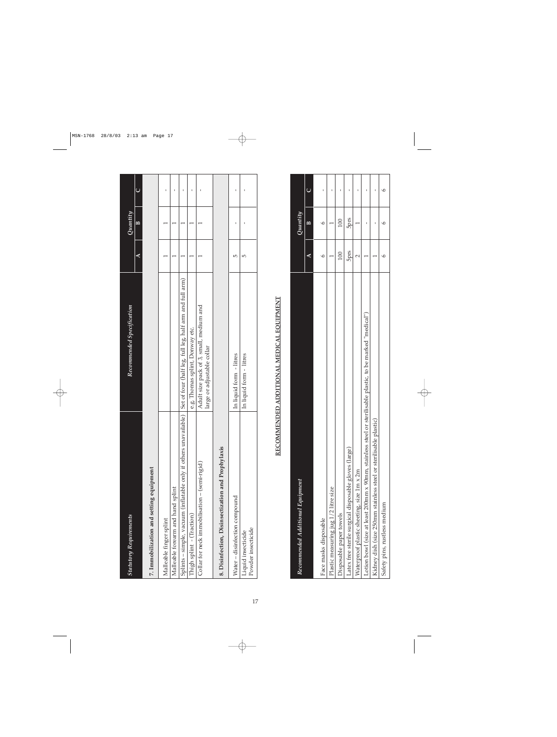| <b>Statutory Requirements</b>                                    | Recommended Specification                                             |   | Quantity |   |
|------------------------------------------------------------------|-----------------------------------------------------------------------|---|----------|---|
|                                                                  |                                                                       | ⋖ | m        | d |
| 7. Immobilization and setting equipment                          |                                                                       |   |          |   |
| Malleable finger splint                                          |                                                                       |   |          |   |
| Malleable forearm and hand splint                                |                                                                       |   |          |   |
| Splints – simple, vacuum (inflatable only if others unavailable) | Set of four (half leg, full leg, half arm and full arm)               |   |          |   |
| Thigh splint - (Traction)                                        | e.g. Thomas splint, Donway etc.                                       |   |          |   |
| Collar for neck immobilisation - (semi-rigid)                    | Adult size pack of 3, small, medium and<br>large or adjustable collar |   |          |   |
| 8. Disinfection, Disinsectization and Prophylaxis                |                                                                       |   |          |   |
| Water - disinfection compound                                    | In liquid form - litres                                               | 5 |          |   |
| Powder insecticide<br>Liquid insecticide                         | In liquid form - litres                                               | 5 |          |   |

# RECOMMENDED ADDITIONAL MEDICAL EQUIPMENT **RECOMMENDED ADDITIONAL MEDICAL EQUIPMENT**

| Recommended Additional Equipment                                                                             |             | Quantity |  |
|--------------------------------------------------------------------------------------------------------------|-------------|----------|--|
|                                                                                                              | €           | ≅        |  |
| Face masks disposable                                                                                        |             |          |  |
| Plastic measuring jug 1/2 litre size                                                                         |             |          |  |
| Disposable paper towels                                                                                      | 100         | 100      |  |
| Latex free sterile surgical disposable gloves (large)                                                        | <b>Stdc</b> | stdc     |  |
| Waterproof plastic sheeting, size 1m x 2m                                                                    |             |          |  |
| or sterilisable plastic, to be marked "medical")<br>Lotion bowl (size at least 200mm x 90mm, stainless steel |             |          |  |
| Kidney dish (size 250mm stainless steel or sterilisable plastic)                                             |             |          |  |
| Safety pins, rustless medium                                                                                 |             |          |  |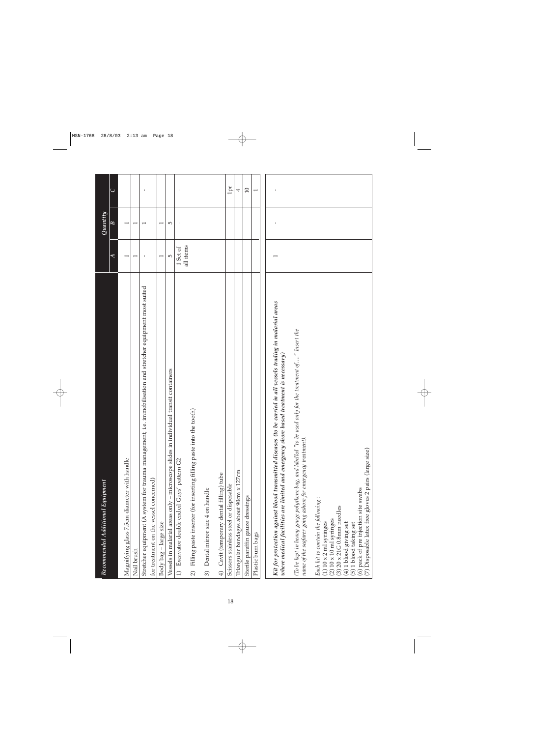| Recommended Additional Equipment                                                                                                                                                                        |                          | Quantity                 |              |
|---------------------------------------------------------------------------------------------------------------------------------------------------------------------------------------------------------|--------------------------|--------------------------|--------------|
|                                                                                                                                                                                                         | $\overline{\mathcal{A}}$ | $\overline{B}$           | $\cup$       |
| Magnifying glass 7.5cm diameter with handle                                                                                                                                                             |                          |                          |              |
| Nail brush                                                                                                                                                                                              | $\overline{\phantom{0}}$ | $\overline{\phantom{0}}$ |              |
| i.e. immobilisation and stretcher equipment most suited<br>Stretcher equipment (A system for trauma management,                                                                                         | ı                        | $\overline{\phantom{0}}$ | I            |
| for treatment on the vessel concerned)                                                                                                                                                                  |                          |                          |              |
| Body bag - large size                                                                                                                                                                                   | $\overline{\phantom{0}}$ | $\overline{\phantom{0}}$ |              |
| Vessels in malarial areas only – microscope slides in individual transit containers                                                                                                                     | 5                        | $\overline{5}$           |              |
| 1) Excavator double ended Guys' pattern G2                                                                                                                                                              | 1 Set of                 | $\mathbf I$              |              |
|                                                                                                                                                                                                         | all items                |                          |              |
| Filling paste inserter (for inserting filling paste into the tooth)<br>$\widehat{2}$                                                                                                                    |                          |                          |              |
| Dental mirror size 4 on handle<br>3)                                                                                                                                                                    |                          |                          |              |
| Cavit (temporary dental filling) tube<br>$\widehat{4}$                                                                                                                                                  |                          |                          |              |
| Scissors stainless steel or disposable                                                                                                                                                                  |                          |                          | 1pr          |
| Triangular bandages about 90cm x 127cm                                                                                                                                                                  |                          |                          | 4            |
| Sterile paraffin gauze dressings                                                                                                                                                                        |                          |                          | $\Box$       |
| Plastic burn bags                                                                                                                                                                                       |                          |                          |              |
|                                                                                                                                                                                                         |                          |                          |              |
| Kit for protection against blood transmitted diseases (to be carried in all vessels trading in malarial areas<br>where medical facilities are limited and emergency shore based treatment is necessary) |                          | $\mathbf I$              | $\mathbf{I}$ |
| used only for the treatment of" Insert the<br>(To be kept in heavy gauge polythene bag, and labelled "to be<br>name of the seafarer going ashore for emergency treatment).                              |                          |                          |              |
| Each kit to contain the following:<br>$(1)$ 10 x 2 ml syringes                                                                                                                                          |                          |                          |              |
| $(3)$ 20 x 21G 0.8mm needles<br>$(2) 10 \times 10$ ml syringes                                                                                                                                          |                          |                          |              |
| $(4)$ 1 blood giving set                                                                                                                                                                                |                          |                          |              |
| (5) 1 blood taking set                                                                                                                                                                                  |                          |                          |              |
| (7) Disposable latex free gloves 2 pairs (large size)<br>(6) pack of pre injection site swabs                                                                                                           |                          |                          |              |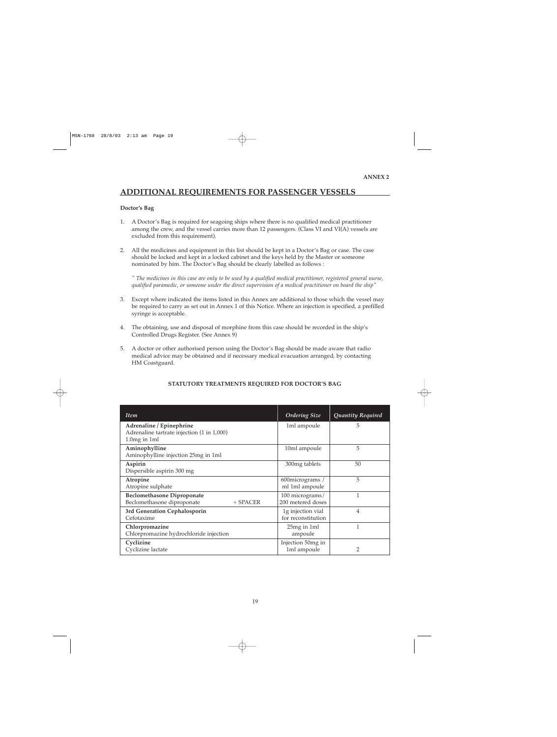# **ADDITIONAL REQUIREMENTS FOR PASSENGER VESSELS**

### **Doctor's Bag**

- 1. A Doctor's Bag is required for seagoing ships where there is no qualified medical practitioner among the crew, and the vessel carries more than 12 passengers. (Class VI and VI(A) vessels are excluded from this requirement).
- 2. All the medicines and equipment in this list should be kept in a Doctor's Bag or case. The case should be locked and kept in a locked cabinet and the keys held by the Master or someone nominated by him. The Doctor's Bag should be clearly labelled as follows :

*" The medicines in this case are only to be used by a qualified medical practitioner, registered general nurse, qualified paramedic, or someone under the direct supervision of a medical practitioner on board the ship"*

- 3. Except where indicated the items listed in this Annex are additional to those which the vessel may be required to carry as set out in Annex 1 of this Notice. Where an injection is specified, a prefilled syringe is acceptable.
- 4. The obtaining, use and disposal of morphine from this case should be recorded in the ship's Controlled Drugs Register. (See Annex 9)
- 5. A doctor or other authorised person using the Doctor's Bag should be made aware that radio medical advice may be obtained and if necessary medical evacuation arranged, by contacting HM Coastguard.

| <b>Item</b>                                                                   | <b>Ordering Size</b>                    | Quantity Required |
|-------------------------------------------------------------------------------|-----------------------------------------|-------------------|
| Adrenaline / Epinephrine<br>Adrenaline tartrate injection (1 in 1,000)        | 1ml ampoule                             | 5                 |
| $1.0mg$ in 1ml                                                                |                                         |                   |
| Aminophylline<br>Aminophylline injection 25mg in 1ml                          | 10ml ampoule                            | 5                 |
| Aspirin<br>Dispersible aspirin 300 mg                                         | 300mg tablets                           | 50                |
| Atropine<br>Atropine sulphate                                                 | 600 micrograms /<br>ml 1ml ampoule      | 5                 |
| <b>Beclomethasone Diproponate</b><br>Beclomethasone diproponate<br>$+$ SPACER | 100 micrograms/<br>200 metered doses    |                   |
| 3rd Generation Cephalosporin<br>Cefotaxime                                    | 1g injection vial<br>for reconstitution | 4                 |
| Chlorpromazine<br>Chlorpromazine hydrochloride injection                      | 25mg in 1ml<br>ampoule                  | 1                 |
| Cyclizine<br>Cyclizine lactate                                                | Injection 50mg in<br>1ml ampoule        | $\overline{2}$    |

### **STATUTORY TREATMENTS REQUIRED FOR DOCTOR'S BAG**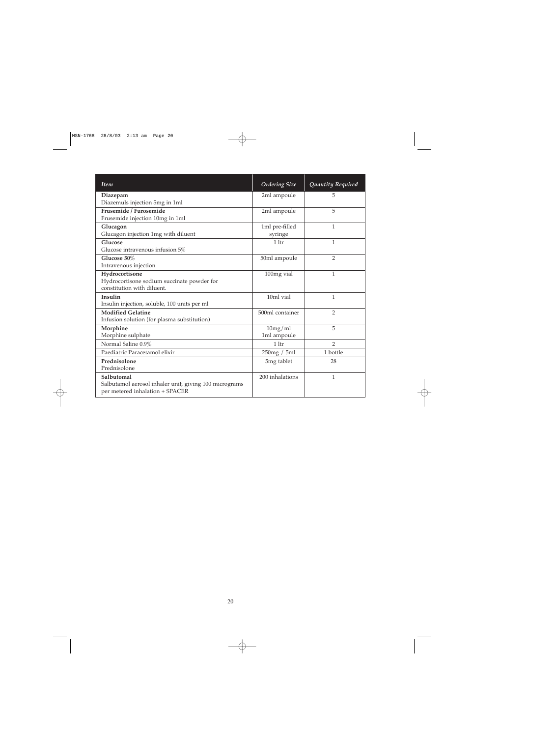| <b>Item</b>                                                                                             | <b>Ordering Size</b>      | Quantity Required |
|---------------------------------------------------------------------------------------------------------|---------------------------|-------------------|
| Diazepam<br>Diazemuls injection 5mg in 1ml                                                              | 2ml ampoule               | 5                 |
| Frusemide / Furosemide<br>Frusemide injection 10mg in 1ml                                               | 2ml ampoule               | 5                 |
| Glucagon<br>Glucagon injection 1mg with diluent                                                         | 1ml pre-filled<br>syringe | 1                 |
| Glucose<br>Glucose intravenous infusion 5%                                                              | 1 <sup>1</sup>            | $\mathbf{1}$      |
| Glucose 50%<br>Intravenous injection                                                                    | 50ml ampoule              | $\overline{2}$    |
| Hydrocortisone<br>Hydrocortisone sodium succinate powder for<br>constitution with diluent.              | 100mg vial                | 1                 |
| Insulin<br>Insulin injection, soluble, 100 units per ml                                                 | 10ml vial                 | $\mathbf{1}$      |
| <b>Modified Gelatine</b><br>Infusion solution (for plasma substitution)                                 | 500ml container           | $\overline{2}$    |
| Morphine<br>Morphine sulphate                                                                           | 10mg/ml<br>1ml ampoule    | 5                 |
| Normal Saline 0.9%                                                                                      | 1 <sup>1</sup>            | $\overline{2}$    |
| Paediatric Paracetamol elixir                                                                           | 250mg / 5ml               | 1 bottle          |
| Prednisolone<br>Prednisolone                                                                            | 5mg tablet                | 28                |
| Salbutomal<br>Salbutamol aerosol inhaler unit, giving 100 micrograms<br>per metered inhalation + SPACER | 200 inhalations           | $\mathbf{1}$      |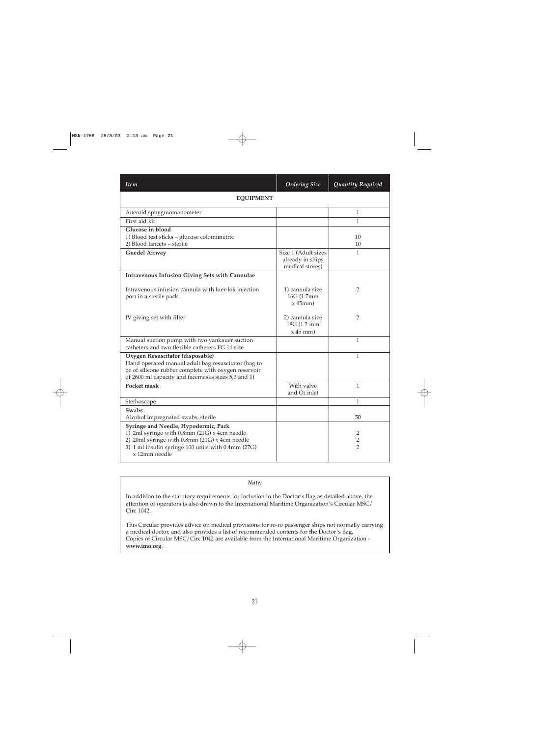| Item                                                                                                                                                                                                         | <b>Ordering Size</b>                                       | Quantity Required                     |
|--------------------------------------------------------------------------------------------------------------------------------------------------------------------------------------------------------------|------------------------------------------------------------|---------------------------------------|
| <b>EQUIPMENT</b>                                                                                                                                                                                             |                                                            |                                       |
| Aneroid sphygmomanometer                                                                                                                                                                                     |                                                            | 1                                     |
| First aid kit                                                                                                                                                                                                |                                                            | 1                                     |
| Glucose in blood<br>1) Blood test sticks - glucose colomimetric<br>2) Blood lancets - sterile                                                                                                                |                                                            | 10<br>10                              |
| <b>Guedel Airway</b>                                                                                                                                                                                         | Size 1 (Adult sizes<br>already in ships<br>medical stores) | 1                                     |
| <b>Intravenous Infusion Giving Sets with Cannulae</b>                                                                                                                                                        |                                                            |                                       |
| Intravenous infusion cannula with luer-lok injection<br>port in a sterile pack                                                                                                                               | 1) cannula size<br>16G (1.7mm)<br>$x$ 45mm)                | $\overline{2}$                        |
| IV giving set with filter                                                                                                                                                                                    | 2) cannula size<br>18G (1.2 mm<br>$x 45$ mm)               | $\overline{2}$                        |
| Manual suction pump with two yankauer suction<br>catheters and two flexible catheters FG 14 size                                                                                                             |                                                            | $\mathbf{1}$                          |
| Oxygen Resuscitator (disposable)<br>Hand operated manual adult bag resuscitator (bag to<br>be of silicone rubber complete with oxygen reservoir<br>of 2600 ml capacity and facemasks sizes 5,3 and 1)        |                                                            | 1                                     |
| Pocket mask                                                                                                                                                                                                  | With valve<br>and O <sub>2</sub> inlet                     | $\mathbf{1}$                          |
| Stethoscope                                                                                                                                                                                                  |                                                            | 1                                     |
| <b>Swabs</b><br>Alcohol impregnated swabs, sterile                                                                                                                                                           |                                                            | 50                                    |
| Syringe and Needle, Hypodermic, Pack<br>1) 2ml syringe with 0.8mm (21G) x 4cm needle<br>2) 20ml syringe with 0.8mm (21G) x 4cm needle<br>3) 1 ml insulin syringe 100 units with 0.4mm (27G)<br>x 12mm needle |                                                            | 2<br>$\overline{2}$<br>$\overline{2}$ |

*Note:*

In addition to the statutory requirements for inclusion in the Doctor's Bag as detailed above, the attention of operators is also drawn to the International Maritime Organization's Circular MSC/ Circ 1042.

This Circular provides advice on medical provisions for ro-ro passenger ships not normally carrying a medical doctor, and also provides a list of recommended contents for the Doctor's Bag. Copies of Circular MSC/Circ 1042 are available from the International Maritime Organization **www.imo.org**.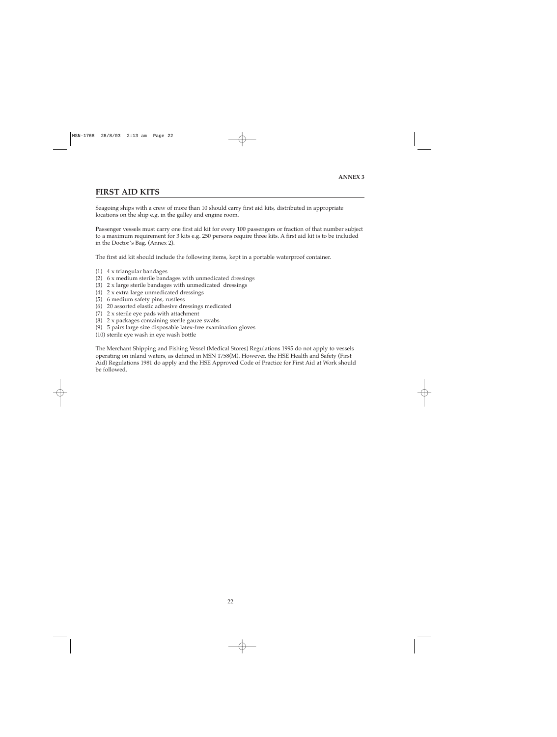## **FIRST AID KITS**

Seagoing ships with a crew of more than 10 should carry first aid kits, distributed in appropriate locations on the ship e.g. in the galley and engine room.

Passenger vessels must carry one first aid kit for every 100 passengers or fraction of that number subject to a maximum requirement for 3 kits e.g. 250 persons require three kits. A first aid kit is to be included in the Doctor's Bag. (Annex 2).

The first aid kit should include the following items, kept in a portable waterproof container.

- (1) 4 x triangular bandages
- (2) 6 x medium sterile bandages with unmedicated dressings
- (3)  $2 \times$  large sterile bandages with unmedicated dressings
- (4) 2 x extra large unmedicated dressings
- (5) 6 medium safety pins, rustless
- (6) 20 assorted elastic adhesive dressings medicated
- (7) 2 x sterile eye pads with attachment
- (8) 2 x packages containing sterile gauze swabs
- (9) 5 pairs large size disposable latex-free examination gloves
- (10) sterile eye wash in eye wash bottle

The Merchant Shipping and Fishing Vessel (Medical Stores) Regulations 1995 do not apply to vessels operating on inland waters, as defined in MSN 1758(M). However, the HSE Health and Safety (First Aid) Regulations 1981 do apply and the HSE Approved Code of Practice for First Aid at Work should be followed.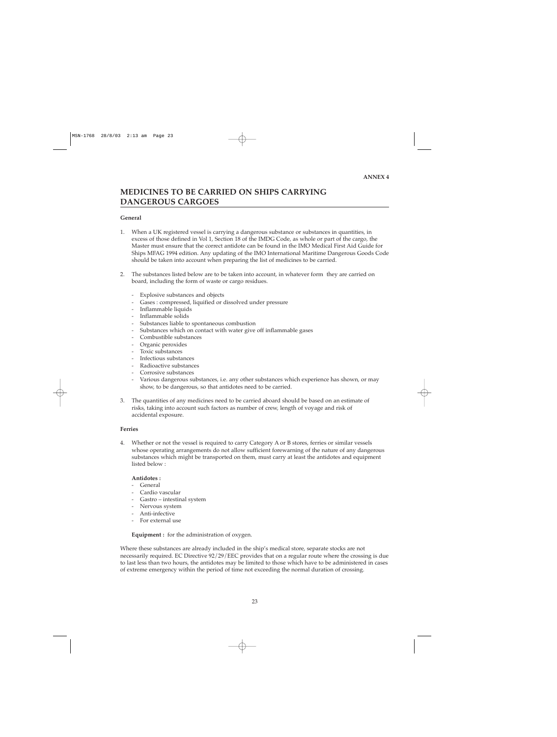# **MEDICINES TO BE CARRIED ON SHIPS CARRYING DANGEROUS CARGOES**

### **General**

- 1. When a UK registered vessel is carrying a dangerous substance or substances in quantities, in excess of those defined in Vol 1, Section 18 of the IMDG Code, as whole or part of the cargo, the Master must ensure that the correct antidote can be found in the IMO Medical First Aid Guide for Ships MFAG 1994 edition. Any updating of the IMO International Maritime Dangerous Goods Code should be taken into account when preparing the list of medicines to be carried.
- 2. The substances listed below are to be taken into account, in whatever form they are carried on board, including the form of waste or cargo residues.
	- Explosive substances and objects
	- Gases : compressed, liquified or dissolved under pressure
	- Inflammable liquids
	- Inflammable solids
	- Substances liable to spontaneous combustion
	- Substances which on contact with water give off inflammable gases
	- Combustible substances
	- Organic peroxides
	- Toxic substances
	- Infectious substances
	- Radioactive substances
	- Corrosive substances
	- Various dangerous substances, i.e. any other substances which experience has shown, or may show, to be dangerous, so that antidotes need to be carried.
- 3. The quantities of any medicines need to be carried aboard should be based on an estimate of risks, taking into account such factors as number of crew, length of voyage and risk of accidental exposure.

### **Ferries**

4. Whether or not the vessel is required to carry Category A or B stores, ferries or similar vessels whose operating arrangements do not allow sufficient forewarning of the nature of any dangerous substances which might be transported on them, must carry at least the antidotes and equipment listed below :

### **Antidotes :**

- General
- Cardio vascular
- Gastro intestinal system
- Nervous system
- Anti-infective
- For external use

**Equipment :** for the administration of oxygen.

Where these substances are already included in the ship's medical store, separate stocks are not necessarily required. EC Directive 92/29/EEC provides that on a regular route where the crossing is due to last less than two hours, the antidotes may be limited to those which have to be administered in cases of extreme emergency within the period of time not exceeding the normal duration of crossing.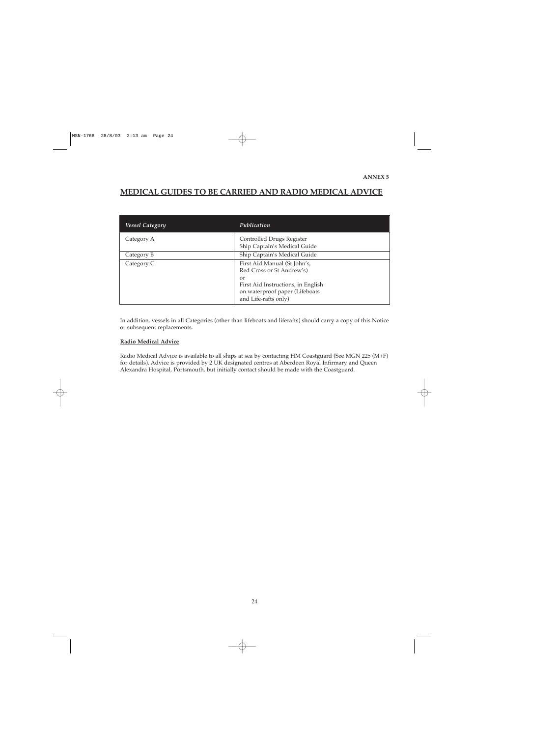# **MEDICAL GUIDES TO BE CARRIED AND RADIO MEDICAL ADVICE**

| <b>Vessel Category</b> | Publication                                                                                        |
|------------------------|----------------------------------------------------------------------------------------------------|
| Category A             | Controlled Drugs Register<br>Ship Captain's Medical Guide                                          |
| Category B             | Ship Captain's Medical Guide                                                                       |
| Category C             | First Aid Manual (St John's,<br>Red Cross or St Andrew's)                                          |
|                        | or<br>First Aid Instructions, in English<br>on waterproof paper (Lifeboats<br>and Life-rafts only) |

In addition, vessels in all Categories (other than lifeboats and liferafts) should carry a copy of this Notice or subsequent replacements.

### **Radio Medical Advice**

Radio Medical Advice is available to all ships at sea by contacting HM Coastguard (See MGN 225 (M+F) for details). Advice is provided by 2 UK designated centres at Aberdeen Royal Infirmary and Queen Alexandra Hospital, Portsmouth, but initially contact should be made with the Coastguard.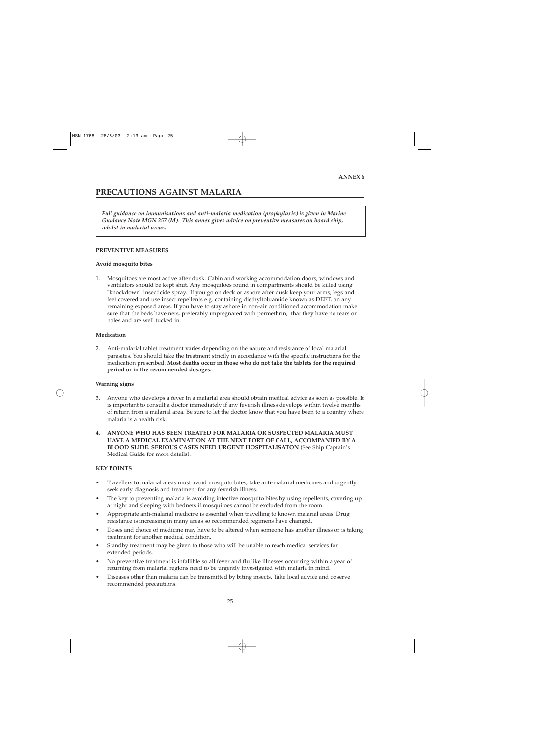# **PRECAUTIONS AGAINST MALARIA**

*Full guidance on immunisations and anti-malaria medication (prophylaxis) is given in Marine Guidance Note MGN 257 (M). This annex gives advice on preventive measures on board ship, whilst in malarial areas.*

### **PREVENTIVE MEASURES**

### **Avoid mosquito bites**

1. Mosquitoes are most active after dusk. Cabin and working accommodation doors, windows and ventilators should be kept shut. Any mosquitoes found in compartments should be killed using "knockdown" insecticide spray. If you go on deck or ashore after dusk keep your arms, legs and feet covered and use insect repellents e.g. containing diethyltoluamide known as DEET, on any remaining exposed areas. If you have to stay ashore in non-air conditioned accommodation make sure that the beds have nets, preferably impregnated with permethrin, that they have no tears or holes and are well tucked in.

### **Medication**

2. Anti-malarial tablet treatment varies depending on the nature and resistance of local malarial parasites. You should take the treatment strictly in accordance with the specific instructions for the medication prescribed. **Most deaths occur in those who do not take the tablets for the required period or in the recommended dosages.**

### **Warning signs**

- 3. Anyone who develops a fever in a malarial area should obtain medical advice as soon as possible. It is important to consult a doctor immediately if any feverish illness develops within twelve months of return from a malarial area. Be sure to let the doctor know that you have been to a country where malaria is a health risk.
- 4. **ANYONE WHO HAS BEEN TREATED FOR MALARIA OR SUSPECTED MALARIA MUST HAVE A MEDICAL EXAMINATION AT THE NEXT PORT OF CALL, ACCOMPANIED BY A BLOOD SLIDE. SERIOUS CASES NEED URGENT HOSPITALISATON** (See Ship Captain's Medical Guide for more details).

### **KEY POINTS**

- Travellers to malarial areas must avoid mosquito bites, take anti-malarial medicines and urgently seek early diagnosis and treatment for any feverish illness.
- The key to preventing malaria is avoiding infective mosquito bites by using repellents, covering up at night and sleeping with bednets if mosquitoes cannot be excluded from the room.
- Appropriate anti-malarial medicine is essential when travelling to known malarial areas. Drug resistance is increasing in many areas so recommended regimens have changed.
- Doses and choice of medicine may have to be altered when someone has another illness or is taking treatment for another medical condition.
- Standby treatment may be given to those who will be unable to reach medical services for extended periods.
- No preventive treatment is infallible so all fever and flu like illnesses occurring within a year of returning from malarial regions need to be urgently investigated with malaria in mind.
- Diseases other than malaria can be transmitted by biting insects. Take local advice and observe recommended precautions.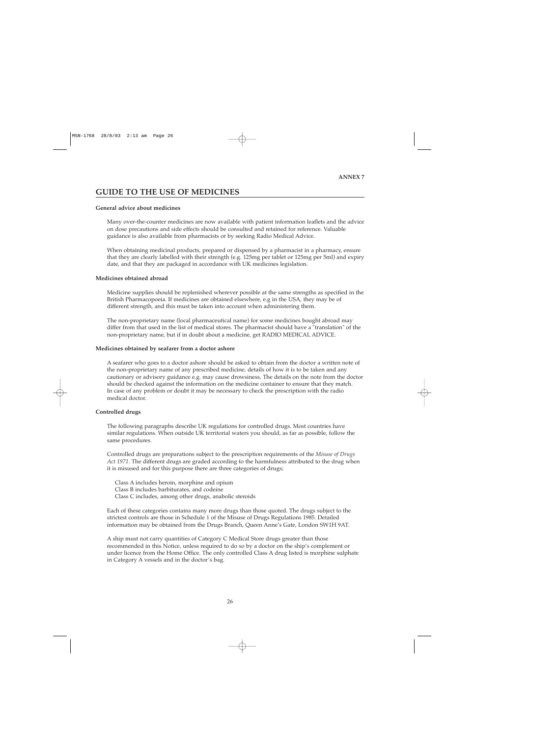# **GUIDE TO THE USE OF MEDICINES**

### **General advice about medicines**

Many over-the-counter medicines are now available with patient information leaflets and the advice on dose precautions and side effects should be consulted and retained for reference. Valuable guidance is also available from pharmacists or by seeking Radio Medical Advice.

When obtaining medicinal products, prepared or dispensed by a pharmacist in a pharmacy, ensure that they are clearly labelled with their strength (e.g. 125mg per tablet or 125mg per 5ml) and expiry date, and that they are packaged in accordance with UK medicines legislation.

### **Medicines obtained abroad**

Medicine supplies should be replenished wherever possible at the same strengths as specified in the British Pharmacopoeia. If medicines are obtained elsewhere, e.g in the USA, they may be of different strength, and this must be taken into account when administering them.

The non-proprietary name (local pharmaceutical name) for some medicines bought abroad may differ from that used in the list of medical stores. The pharmacist should have a "translation" of the non-proprietary name, but if in doubt about a medicine, get RADIO MEDICAL ADVICE.

### **Medicines obtained by seafarer from a doctor ashore**

A seafarer who goes to a doctor ashore should be asked to obtain from the doctor a written note of the non-proprietary name of any prescribed medicine, details of how it is to be taken and any cautionary or advisory guidance e.g. may cause drowsiness. The details on the note from the doctor should be checked against the information on the medicine container to ensure that they match. In case of any problem or doubt it may be necessary to check the prescription with the radio medical doctor.

### **Controlled drugs**

The following paragraphs describe UK regulations for controlled drugs. Most countries have similar regulations. When outside UK territorial waters you should, as far as possible, follow the same procedures.

Controlled drugs are preparations subject to the prescription requirements of the *Misuse of Drugs Act 1971*. The different drugs are graded according to the harmfulness attributed to the drug when it is misused and for this purpose there are three categories of drugs;

Class A includes heroin, morphine and opium Class B includes barbiturates, and codeine Class C includes, among other drugs, anabolic steroids

Each of these categories contains many more drugs than those quoted. The drugs subject to the strictest controls are those in Schedule 1 of the Misuse of Drugs Regulations 1985. Detailed information may be obtained from the Drugs Branch, Queen Anne's Gate, London SW1H 9AT.

A ship must not carry quantities of Category C Medical Store drugs greater than those recommended in this Notice, unless required to do so by a doctor on the ship's complement or under licence from the Home Office. The only controlled Class A drug listed is morphine sulphate in Category A vessels and in the doctor's bag.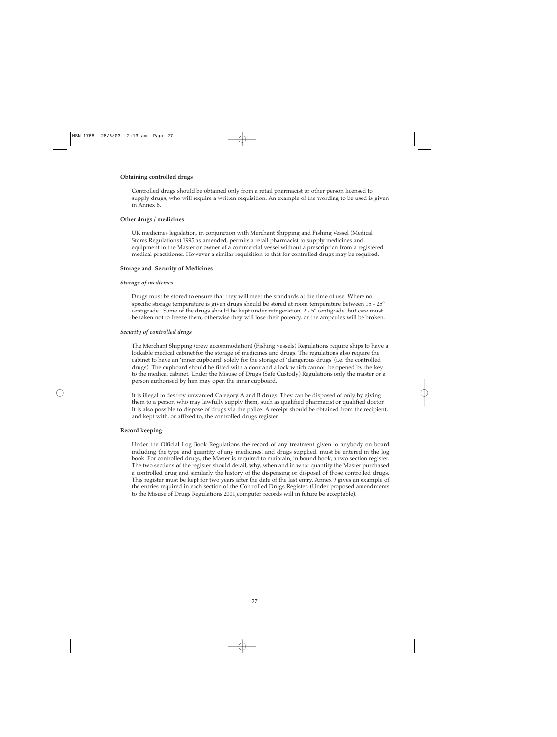### **Obtaining controlled drugs**

Controlled drugs should be obtained only from a retail pharmacist or other person licensed to supply drugs, who will require a written requisition. An example of the wording to be used is given in Annex 8.

### **Other drugs / medicines**

UK medicines legislation, in conjunction with Merchant Shipping and Fishing Vessel (Medical Stores Regulations) 1995 as amended, permits a retail pharmacist to supply medicines and equipment to the Master or owner of a commercial vessel without a prescription from a registered medical practitioner. However a similar requisition to that for controlled drugs may be required.

### **Storage and Security of Medicines**

### *Storage of medicines*

Drugs must be stored to ensure that they will meet the standards at the time of use. Where no specific storage temperature is given drugs should be stored at room temperature between 15 - 25º centigrade. Some of the drugs should be kept under refrigeration, 2 - 5º centigrade, but care must be taken not to freeze them, otherwise they will lose their potency, or the ampoules will be broken.

### *Security of controlled drugs*

The Merchant Shipping (crew accommodation) (Fishing vessels) Regulations require ships to have a lockable medical cabinet for the storage of medicines and drugs. The regulations also require the cabinet to have an 'inner cupboard' solely for the storage of 'dangerous drugs' (i.e. the controlled drugs). The cupboard should be fitted with a door and a lock which cannot be opened by the key to the medical cabinet. Under the Misuse of Drugs (Safe Custody) Regulations only the master or a person authorised by him may open the inner cupboard.

It is illegal to destroy unwanted Category A and B drugs. They can be disposed of only by giving them to a person who may lawfully supply them, such as qualified pharmacist or qualified doctor. It is also possible to dispose of drugs via the police. A receipt should be obtained from the recipient, and kept with, or affixed to, the controlled drugs register.

### **Record keeping**

Under the Official Log Book Regulations the record of any treatment given to anybody on board including the type and quantity of any medicines, and drugs supplied, must be entered in the log book. For controlled drugs, the Master is required to maintain, in bound book, a two section register. The two sections of the register should detail, why, when and in what quantity the Master purchased a controlled drug and similarly the history of the dispensing or disposal of those controlled drugs. This register must be kept for two years after the date of the last entry. Annex 9 gives an example of the entries required in each section of the Controlled Drugs Register. (Under proposed amendments to the Misuse of Drugs Regulations 2001,computer records will in future be acceptable).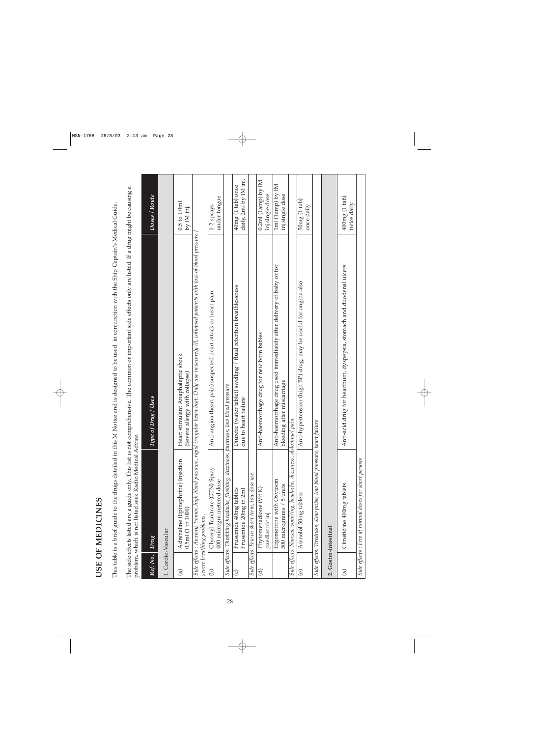| ć<br>ŗ<br>ĺ |  |
|-------------|--|
|             |  |
|             |  |
| í           |  |
| t<br>È<br>Ç |  |

This table is a brief guide to the drugs detailed in this M Notice and is designed to be used in conjunction with the Ship Captain's Medical Guide. This table is a brief guide to the drugs detailed in this M Notice and is designed to be used in conjunction with the Ship Captain's Medical Guide.

The side effects listed are a guide only. This list is not comprehensive. The common or important side effects only are listed. If a drug might be causing a The side effects listed are a guide only. This list is not comprehensive. The common or important side effects only are listed. If a drug might be causing a problem, which is not listed seek Radio Medical Advice.

|               | problem, which is not listed seek Radio Medical Advice.                              |                                                                                                                                                           |                                                  |
|---------------|--------------------------------------------------------------------------------------|-----------------------------------------------------------------------------------------------------------------------------------------------------------|--------------------------------------------------|
| Ref. No.      | Drug                                                                                 | Type of $Dryg$ / $Uses$                                                                                                                                   | Doses / Route                                    |
|               | 1. Cardio-Vascular                                                                   |                                                                                                                                                           |                                                  |
| $\widehat{a}$ | Adrenaline (Epinephrine) Injection<br>$0.5ml$ (1 in 1000)                            | Heart stimulant Anaphalaptic shock<br>(Severe allergy with collapse)                                                                                      | $0.5 \text{ to } 1.0 \text{m}$<br>by IM inj.     |
|               | severe breathing problems.                                                           | Side effects : Anxiety, tremor, high blood pressure, rapid irregular heart beat. Only use in severely ill, collapsed patients with loss of blood pressure |                                                  |
| $\widehat{e}$ | Glyceryl Trinitrate (GTN) Spray<br>400 microgm metered dose                          | Anti-angina (heart pain) suspected heart attack or heart pain                                                                                             | under tongue<br>1-2 sprays                       |
|               | Side effects: Throbbing headache, flushing, dizziness, faintness, low blood pressure |                                                                                                                                                           |                                                  |
| $\odot$       | Frusemide 40mg tablets<br>Frusemide 20mg in 2ml                                      | Diuretic (water tablet) swelling / fluid retention breathlessness<br>due to heart failure                                                                 | daily, 2ml by IM inj.<br>40mg (1 tab) once       |
|               | Side effects: Few in short term, low dose use.                                       |                                                                                                                                                           |                                                  |
| ਦੇ            | Phytomenadione (Vit K)<br>paediactric inj                                            | Anti-haemorrhage drug for new born babies                                                                                                                 | $0.2$ ml $(1$ amp $)$ by $IM$<br>inj single dose |
|               | Ergometrine with Oxytocin<br>500 micrograms / 5 units                                | Anti-haemorrhage drug used immediately after delivery of baby or for<br>bleeding after miscarriage                                                        | 1ml (1amp) by IM<br>inj single dose              |
|               | Side effects: Nausea, vomiting, headache, dizziness, abdominal pain.                 |                                                                                                                                                           |                                                  |
| $\widehat{e}$ | Atenolol 50mg tablets                                                                | Anti-hypertension (high BP) drug, may be useful for angina also                                                                                           | 50mg(1 tab)<br>once daily                        |
|               | Side effects: Tiredness, slow pulse, low blood pressure, heart f                     | ailure                                                                                                                                                    |                                                  |
|               | 2. Gastro-intestinal                                                                 |                                                                                                                                                           |                                                  |
| $\widehat{a}$ | Cimetidine 400mg tablets                                                             | Anti-acid drug for heartburn, dyspepsia, stomach and duodenal ulcers                                                                                      | 400mg(1 tab)<br>twice daily                      |
|               | Side effects : Few at normal doses for short periods                                 |                                                                                                                                                           |                                                  |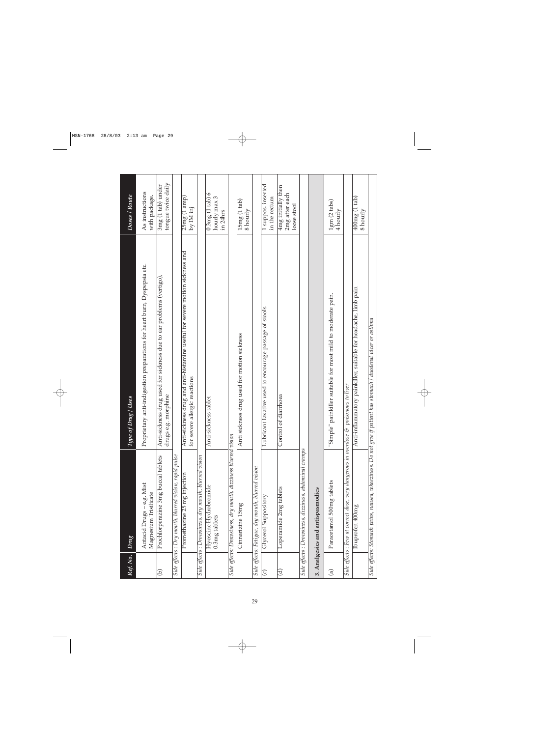| Ref. No.               | <b>Drug</b>                                                    | of Drug / Uses<br>Type                                                                                         | Doses / Route                                       |
|------------------------|----------------------------------------------------------------|----------------------------------------------------------------------------------------------------------------|-----------------------------------------------------|
|                        | Antacid Drugs - e.g. Mist<br>Magnesium Trisilicate             | Proprietary anti-indigestion preparations for heart burn, Dyspepsia etc.                                       | As instructions<br>with package.                    |
| ව                      | Prochlorperazine 3mg buccal tablets                            | Anti-sickness drug used for sickness due to ear problems (vertigo),<br>drugs e.g. morphine                     | tongue twice daily<br>3mg (1 tab) under             |
|                        | Side effects : Dry mouth, blurred vision, rapid pulse          |                                                                                                                |                                                     |
|                        | Promethazine 25 mg injection                                   | Anti-sickness drug and anti-histamine useful for severe motion sickness and<br>for severe allergic reactions   | 25mg (1 amp)<br>by IM inj                           |
|                        | Side effects : Drowsiness, dry mouth, blurred vision           |                                                                                                                |                                                     |
|                        | Hyoscine Hydrobromide<br>0.3mg tablets                         | Anti-sickness tablet                                                                                           | $0.3mg(1$ tab) 6<br>hourly max 3<br>in 24hrs        |
|                        | Side effects: Drowsiness, dry mouth, dizziness blurred vision  |                                                                                                                |                                                     |
|                        | Cinnarizine 15mg                                               | Anti sickness drug used for motion sickness                                                                    | 15mg(1 tab)<br>8 hourly                             |
|                        | Side effects: Fatigue, dry mouth, blurred vision               |                                                                                                                |                                                     |
| $\odot$                | Glycerol Suppository                                           | Lubricant laxative used to encourage passage of stools                                                         | 1 suppos. inserted<br>in the rectum                 |
| $\widehat{\mathbf{c}}$ | Loperamide 2mg tablets                                         | Control of diarrhoea                                                                                           | 4mg initially then<br>2mg after each<br>loose stool |
|                        | Side effects : Drowsiness, dizziness, abdominal cramps         |                                                                                                                |                                                     |
|                        | 3. Analgesics and antispasmodics                               |                                                                                                                |                                                     |
| $\bigcirc$             | Paracetamol 500mg tablets                                      | "Simple" painkiller suitable for most mild to moderate pain.                                                   | 1gm(2 tables)<br>4 hourly                           |
|                        | Side effects : Few at correct dose, very dangerous in overdose | & poisonous to liver                                                                                           |                                                     |
|                        | Touprofen 400mg                                                | Anti-inflammatory painkiller, suitable for headache, limb pain                                                 | 400mg (1 tab)<br>8 hourly                           |
|                        |                                                                | Side effects: Stomach pains, nausea, wheeziness. Do not give if patient has stomach / duodenal ulcer or asthma |                                                     |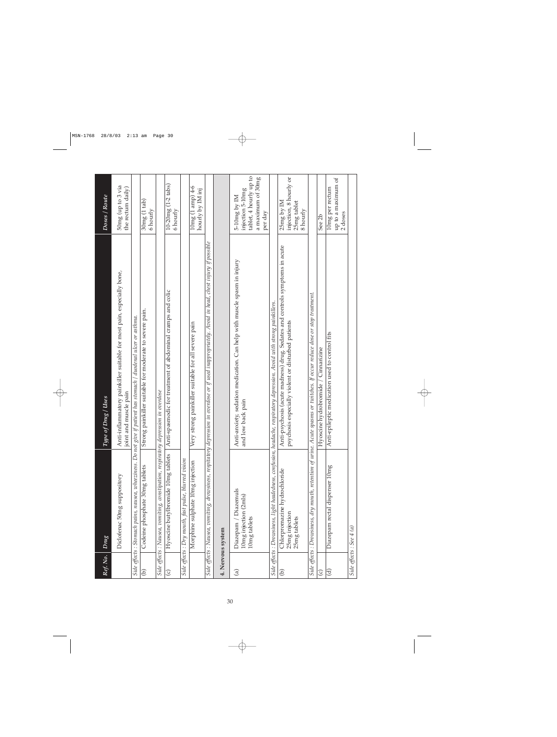| Ref. No.               | Drug                                                                              | of Drug / Uses<br>Type                                                                                                                              | Doses / Route                                                                                |
|------------------------|-----------------------------------------------------------------------------------|-----------------------------------------------------------------------------------------------------------------------------------------------------|----------------------------------------------------------------------------------------------|
|                        | Diclofenac 50mg suppository                                                       | Anti-inflammatory painkiller suitable for most pain, especially bone,<br>joint and muscle pain                                                      | 50mg (up to 3 via<br>the rectum daily)                                                       |
|                        |                                                                                   | Side effects : Stomach pains, nausea, wheeziness. Do not give if patient has stomach / duodenal ulcer or asthma.                                    |                                                                                              |
| ව                      | Codeine phosphate 30mg tablets                                                    | Strong painkiller suitable for moderate to severe pain.                                                                                             | 30mg(1 tab)<br>6 hourly                                                                      |
|                        | Side effects : Nausea, vomiting, constipation, respiratory depression in overdose |                                                                                                                                                     |                                                                                              |
| $\odot$                | Hyoscine butylbromide 10mg tablets                                                | Anti-spasmodic for treatment of abdominal cramps and colic                                                                                          | $10 - 20mg(1 - 2$ tabs)<br>6 hourly                                                          |
|                        | Side effects : Dry mouth, fast pulse, blurred vision                              |                                                                                                                                                     |                                                                                              |
|                        | Morphine sulphate 10mg injection                                                  | strong painkiller suitable for all severe pain<br>Very                                                                                              | $10mg(1$ amp) $4-6$<br>hourly by IM inj                                                      |
|                        |                                                                                   | Side effects : Nausea, vomiting, drowsiness, respitatory depression in overdose or if used inappropriately. Avoid in head, chest injury if possible |                                                                                              |
|                        | 4. Nervous system                                                                 |                                                                                                                                                     |                                                                                              |
| $\widehat{a}$          | Diazepam / Diazemuls<br>10mg injection (2mls)<br>10mg tablets                     | Anti-anxiety, sedation medication. Can help with muscle spasm in injury<br>and low back pain                                                        | tablet, 4 hourly up to<br>a maximum of 30mg<br>injection 5-10mg<br>$5-10mg$ by IM<br>per day |
|                        |                                                                                   | Side effects : Drowsiness, light headedness, confusion, headache, respiratory depression. Avoid with strong painkillers.                            |                                                                                              |
| Э                      | Chlorpromazine hydrochloride<br>25mg injection<br>25mg tablets                    | Anti-psychosis (acute madness) drug. Sedates and controls symptoms in acute<br>psychosis especially violent or disturbed patients                   | injection, 8 hourly or<br>25mg by IM<br>25mg tablet<br>8 hourly                              |
|                        |                                                                                   | Side effects : Drowsiness, dry mouth, retention of urine. Acute spasms or twitches. If occur reduce dose or stop treatment.                         |                                                                                              |
| $\widehat{\circ}$      |                                                                                   | Cinnarizine<br>Hyoscine hydrobromide                                                                                                                | See 2b                                                                                       |
| $\widehat{\mathbf{c}}$ | Diazepam rectal dispenser 10mg                                                    | Anti-epileptic medication used to control fits                                                                                                      | up to a maximum of<br>10mg per rectum<br>2 doses                                             |
|                        | Side effects : See 4 (a)                                                          |                                                                                                                                                     |                                                                                              |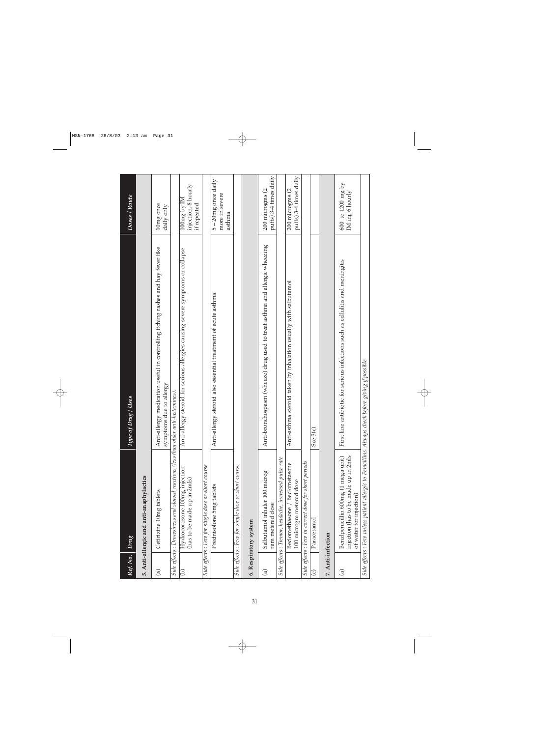| Ref. No.          | Drug                                                                                                   | of Drug / Uses<br>$\it Type$                                                                               | Doses / Route                                       |
|-------------------|--------------------------------------------------------------------------------------------------------|------------------------------------------------------------------------------------------------------------|-----------------------------------------------------|
|                   | 5. Anti-allergic and anti-anaphylactics                                                                |                                                                                                            |                                                     |
| $\widehat{a}$     | Cetirizine 10mg tablets                                                                                | Anti-allergy medication useful in controlling itching rashes and hay fever like<br>symptoms due to allergy | 10mg once<br>daily only                             |
|                   | Side effects : Drowsiness and slowed reactions (less than older                                        | anti-histamines).                                                                                          |                                                     |
| ê                 | Hydrocortisone 100mg injection<br>(has to be made up in 2mls)                                          | Anti-allergy steroid for serious allergies causing severe symptoms or collapse                             | injection, 8 hourly<br>$100mg$ by IM<br>if repeated |
|                   | Side effects : Few for single dose or short course                                                     |                                                                                                            |                                                     |
|                   | Prednisolone 5mg tablets                                                                               | Anti-allergy steroid also essential treatment of acute asthma.                                             | 5-20mg once daily<br>more in severe<br>asthma       |
|                   | Side effects : Few for single dose or short course                                                     |                                                                                                            |                                                     |
|                   | 6. Respiratory system                                                                                  |                                                                                                            |                                                     |
| $\widehat{a}$     | Salbutamol inhaler 100 microg<br>ram metered dose                                                      | Anti-bronchospasm (wheeze) drug used to treat asthma and allergic wheezing                                 | puffs) 3-4 times daily<br>200 microgms (2           |
|                   | Side effects : Tremor, headache, increased pulse rate                                                  |                                                                                                            |                                                     |
|                   | Beclomethasone / Beclometasone<br>100 microgm metered dose                                             | Anti-asthma steroid taken by inhalation usually with salbutamol                                            | puffs) 3-4 times daily<br>200 microgms (2           |
|                   | Side effects : Few in correct dose for short periods                                                   |                                                                                                            |                                                     |
| $\odot$           | Paracetamol                                                                                            | See 3(c)                                                                                                   |                                                     |
| 7. Anti-infection |                                                                                                        |                                                                                                            |                                                     |
| $\widehat{a}$     | injection (has to be made up in 2mls<br>Benzlpenicillin 600mg (1 mega unit)<br>of water for injection) | First line antibiotic for serious infections such as cellulitis and meningitis                             | $600\,$ to $1200$ mg by<br>IM inj, 6 hourly         |
|                   | Side effects : Few unless patient allergic to Penicillins. Always check before giving if possible      |                                                                                                            |                                                     |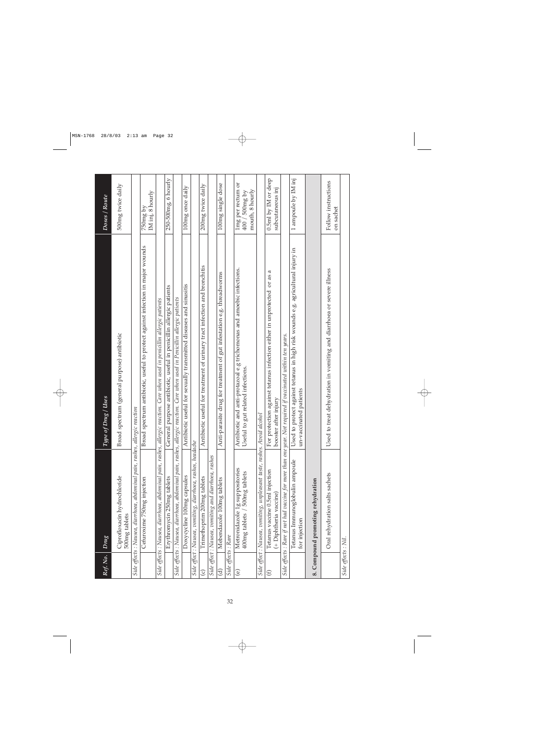| Ref. No.            | Drug                                                                        | of Drug / Uses<br>Type                                                                                                      | Doses / Route                                          |
|---------------------|-----------------------------------------------------------------------------|-----------------------------------------------------------------------------------------------------------------------------|--------------------------------------------------------|
|                     | Ciprofloxacin hydrochloride<br>500mg tablets                                | Broad spectrum (general purpose) antibiotic                                                                                 | 500mg twice daily                                      |
|                     | Side effects : Nausea, diarrhoea, abdominal pain, rashes, allergic reaction |                                                                                                                             |                                                        |
|                     | Cefuroxime 750mg injection                                                  | Broad spectrum antibiotic, useful to protect against infection in major wounds                                              | IM inj, 8 hourly<br>750mg by                           |
|                     |                                                                             | Side effects : Nausea, diarrhoea, abdominal pain, rashes, allergic reaction. Care when used in penicillin allergic patients |                                                        |
|                     | Erythromycin 250mg tablets                                                  | General purpose antibiotic, useful in penicillin allergic patients                                                          | $250 - 500$ mg, 6 hourly                               |
|                     |                                                                             | Side effects : Nausea, diarrhoea, abdominal pain, rashes, allergic reaction. Care when used in Penicillin allergic patients |                                                        |
|                     | Doxycycline 100mg capsules                                                  | Antibiotic useful for sexually transmitted diseases and sinusitis                                                           | 100mg once daily                                       |
|                     | Side effect : Nausea, vomiting, diarrhoea, rashes, headache                 |                                                                                                                             |                                                        |
| $\widehat{\circ}$   | Trimethoprim 200mg tablets                                                  | Antibiotic useful for treatment of urinary tract infection and bronchitis                                                   | 200mg twice daily                                      |
|                     | Side effect : Nausea, vomiting and diarrhoea, rashes                        |                                                                                                                             |                                                        |
| ਰੁ                  | Mebendazole 100mg tablets                                                   | Anti-parasite drug for treatment of gut infestation e.g. threadworms                                                        | 100mg single dose                                      |
| Side effects : Rare |                                                                             |                                                                                                                             |                                                        |
| $\circledcirc$      | Metronidazole 1g suppositories<br>400mg tablets / 500mg tablets             | Antibiotic and anti-protazoal e.g trichomonas and amoebic infections.<br>Useful to gut related infections.                  | lmg per rectum or<br>mouth, 8 hourly<br>400 / 500mg by |
|                     | Side effect : Nausea, vomiting, unpleasant taste, rashes. Avoid alcohol     |                                                                                                                             |                                                        |
| $\mathfrak{S}$      | Tetanus vaccine 0.5ml injection<br>(+ Diphtheria vaccine)                   | a<br>For protection against tetanus infection either in unprotected or as<br>booster after injury                           | 0.5ml by IM or deep<br>subcutaneous inj                |
|                     |                                                                             | Side effects : Rare if not had vaccine for more than one year. Not required if vaccinated within ten years.                 |                                                        |
|                     | Tetanus Immunoglobulin ampoule<br>for injection                             | Used to protect against tetanus in high risk wounds e.g. agricultural injury in<br>un-vaccinated patients                   | 1 ampoule by IM inj                                    |
|                     | 8. Compound promoting rehydration                                           |                                                                                                                             |                                                        |
|                     | Oral rehydration salts sachets                                              | Used to treat dehydration in vomiting and diarrhoea or severe illness                                                       | Follow instructions<br>on sachet                       |
| Side effects : Nil. |                                                                             |                                                                                                                             |                                                        |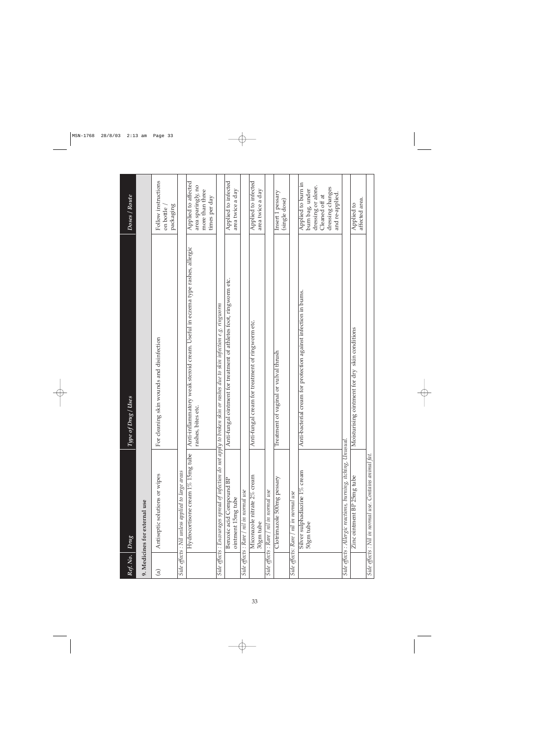| Ref. No.      | Drug                                                          | Type of Drug / Uses                                                                                                     | Doses / Route                                                                                                        |
|---------------|---------------------------------------------------------------|-------------------------------------------------------------------------------------------------------------------------|----------------------------------------------------------------------------------------------------------------------|
|               | 9. Medicines for external use                                 |                                                                                                                         |                                                                                                                      |
| $\widehat{a}$ | Antiseptic solutions or wipes                                 | For cleaning skin wounds and disinfection                                                                               | Follow instructions<br>packaging<br>on bottle                                                                        |
|               | Side effects : Nil unless applied to large areas              |                                                                                                                         |                                                                                                                      |
|               | Hydrocortisone cream $1\%$ 15mg tube                          | Anti-inflammatory weak steroid cream. Useful in eczema type rashes, allergic<br>rashes, bites etc.                      | Applied to affected<br>area sparingly, no<br>more than three<br>times per day                                        |
|               |                                                               | Side effects : Encourages spread of infection do not apply to broken skin or rashes due to skin infection e.g. ringworm |                                                                                                                      |
|               | Benzoic acid Compound BP<br>ointment 15mg tube                | Anti-fungal ointment for treatment of athletes foot, ringworm etc.                                                      | Applied to infected<br>area twice a day                                                                              |
|               | Side effects : Rare / nil in normal use                       |                                                                                                                         |                                                                                                                      |
|               | Miconazole nitrate 2% cream<br>30gm tube                      | Anti-fungal cream for treatment of ringworm etc.                                                                        | Applied to infected<br>area twice a day                                                                              |
|               | Side effects : Rare / nil in normal use                       |                                                                                                                         |                                                                                                                      |
|               | Clotrimazole 500mg pessary                                    | Treatment of vaginal or vulval thrush                                                                                   | Insert 1 pessary<br>(single dose)                                                                                    |
|               | Side effects: Rare / nil in normal use                        |                                                                                                                         |                                                                                                                      |
|               | Silver sulphadiazine 1% cream<br>50gm tube                    | Anti-bacterial cream for protection against infection in burns.                                                         | Applied to burn in<br>dressing or alone.<br>dressing changes<br>burn bag, under<br>and re-applied.<br>Cleaned off at |
|               | Side effects : Allergic reactions, burning, itching, Unusual. |                                                                                                                         |                                                                                                                      |
|               | Zinc ointment BP 25mg tube                                    | Moisturising ointment for dry skin conditions                                                                           | affected area.<br>Applied to                                                                                         |
|               | Side effects : Nil in normal use. Contains animal fat.        |                                                                                                                         |                                                                                                                      |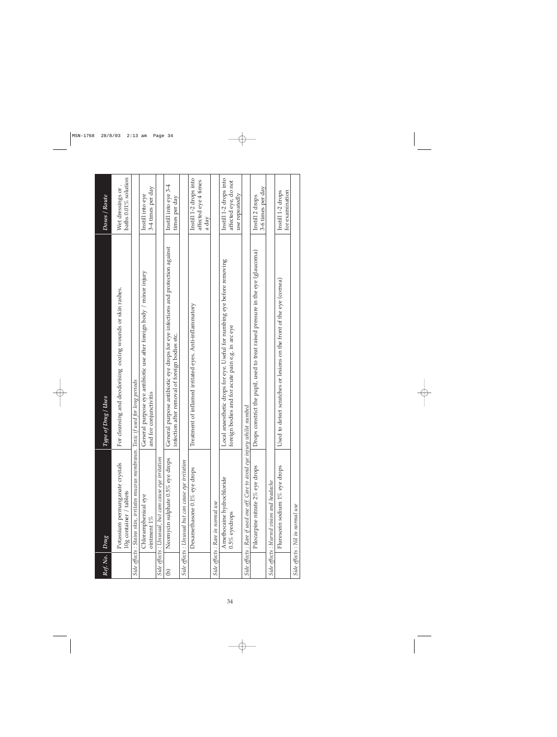| Ref. No.      | Drug                                                                                   | of Drug / Uses<br>Tupe                                                                                                               | Doses / Route                                                    |
|---------------|----------------------------------------------------------------------------------------|--------------------------------------------------------------------------------------------------------------------------------------|------------------------------------------------------------------|
|               |                                                                                        |                                                                                                                                      |                                                                  |
|               | Potassium permanganate crystals<br>10g container / tablets                             | For cleansing and deodorising oozing wounds or skin rashes.                                                                          | baths 0.01% solution<br>Wet dressings or                         |
|               | Side effects : Stains skin, irritates mucous membranes. Toxic if used for long periods |                                                                                                                                      |                                                                  |
|               | Chloramphenical eye<br>ointment 1%                                                     | General purpose eye antibiotic use after foreign body / minor injury<br>and for conjunctivitis                                       | 3-4 times per day<br>Instill into eye                            |
|               | Side effects : Unusual, but cam cause eye irritation                                   |                                                                                                                                      |                                                                  |
| $\widehat{e}$ | Neomycin sulphate 0.5% eye drops                                                       | al purpose antibiotic eye drops for eye infections and protection against<br>infection after removal of foreign bodies etc.<br>Gener | Instill into eye 3-4<br>times per day                            |
|               | Side effects : Unusual but can cause eye irritation                                    |                                                                                                                                      |                                                                  |
|               | Dexamethasone $0.1\%$ eye drops                                                        | Treatment of inflamed irritated eyes. Anti-inflammatory                                                                              | Instill 1-2 drops into<br>affected eye 4 times<br>a day          |
|               | Side effects : Rare in normal use                                                      |                                                                                                                                      |                                                                  |
|               | Amethocaine hydrochloride<br>$0.5\%$ eyedrops                                          | Local anaesthetic drops for eye. Useful for numbing eye before removing<br>foreign bodies and for acute pain e.g. in arc eye         | Instill 1-2 drops into<br>affected eye, do not<br>use repeatedly |
|               | Side effects : Rare if used one off. Care to avoid eye injury whilst numbed            |                                                                                                                                      |                                                                  |
|               | Pilocarpine nitrate 2% eye drops                                                       | constrict the pupil, used to treat raised pressure in the eye (glaucoma)<br>Drops                                                    | 3-6 times per day<br>Instill 2 drops                             |
|               | Side effects : blurred vision and headache                                             |                                                                                                                                      |                                                                  |
|               | Flurescein sodium 1% eye drops                                                         | to detect scratches or lesions on the front of the eye (cornea)<br>Used                                                              | Instill 1-2 drops<br>for examination                             |
|               | Side effects : Nil in normal use                                                       |                                                                                                                                      |                                                                  |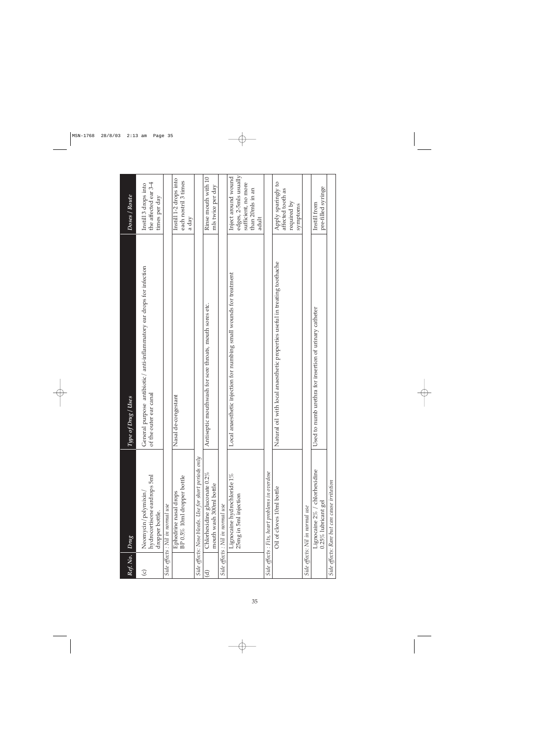| Ref. No.               | $_{Dmg}$                                                              | of Drug / Uses<br>Type (                                                                        | Doses / Route                                                                                    |
|------------------------|-----------------------------------------------------------------------|-------------------------------------------------------------------------------------------------|--------------------------------------------------------------------------------------------------|
| $\odot$                | hydrocortisone eardrops 5ml<br>Neomycin/polymixin/<br>dropper bottle. | General purpose antibiotic/ anti-inflammatory ear drops for infection<br>of the outer ear canal | the affected ear 3-4<br>Instill 3 drops into<br>times per day                                    |
|                        | Side effects : Nil in normal use                                      |                                                                                                 |                                                                                                  |
|                        | BP 0.5% 10ml dropper bottle<br>Ephedrine nasal drops                  | de-congestant<br>Nasal                                                                          | Instill 1-2 drops into<br>each nostril 3 times<br>a day                                          |
|                        | Side effects: Nose bleeds. Use for short periods only                 |                                                                                                 |                                                                                                  |
| $\widehat{\mathbf{d}}$ | Chlorhexidine gluconate $0.2\%$<br>mouth wash 300ml bottle            | Antiseptic mouthwash for sore throats, mouth sores etc.                                         | Rinse mouth with 10<br>mls twice per day                                                         |
|                        | Side effects : Nil in normal use                                      |                                                                                                 |                                                                                                  |
|                        | Lignocaine hydrochloride $1\%$<br>25mg in 5ml injection               | anaesthetic injection for numbing small wounds for treatment<br>$_{\rm Local}$                  | edges, 2-5mls usually<br>Inject around wound<br>sufficient, no more<br>than 20mls in an<br>adult |
|                        | Side effects : Fits, heart problems in overdose                       |                                                                                                 |                                                                                                  |
|                        | Oil of cloves 10ml bottle                                             | Natural oil with local anaesthetic properties useful in treating toothache                      | Apply sparingly to<br>affected tooth as<br>required by<br>symptoms                               |
|                        | Side effects: Nil in normal use                                       |                                                                                                 |                                                                                                  |
|                        | Lignocaine 2% / chlorhexidine<br>$0.25\%$ lubricant gel               | to numb urethra for insertion of urinary catheter<br>Used                                       | pre-filled syringe<br>Instill from                                                               |
|                        | Side effects: Rare but can cause irritation                           |                                                                                                 |                                                                                                  |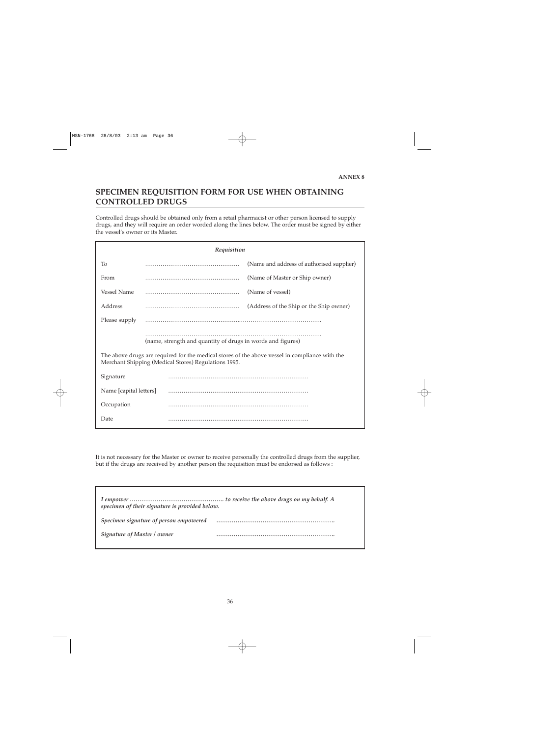# **SPECIMEN REQUISITION FORM FOR USE WHEN OBTAINING CONTROLLED DRUGS**

Controlled drugs should be obtained only from a retail pharmacist or other person licensed to supply drugs, and they will require an order worded along the lines below. The order must be signed by either the vessel's owner or its Master.

| Requisition                                          |                                                                                                                                                               |                                           |  |  |  |
|------------------------------------------------------|---------------------------------------------------------------------------------------------------------------------------------------------------------------|-------------------------------------------|--|--|--|
| To                                                   |                                                                                                                                                               | (Name and address of authorised supplier) |  |  |  |
| From                                                 |                                                                                                                                                               | (Name of Master or Ship owner)            |  |  |  |
| <b>Vessel Name</b>                                   |                                                                                                                                                               | (Name of vessel)                          |  |  |  |
| Address                                              |                                                                                                                                                               | (Address of the Ship or the Ship owner)   |  |  |  |
| Please supply                                        |                                                                                                                                                               |                                           |  |  |  |
|                                                      | (name, strength and quantity of drugs in words and figures)<br>The above drugs are required for the medical stores of the above vessel in compliance with the |                                           |  |  |  |
| Merchant Shipping (Medical Stores) Regulations 1995. |                                                                                                                                                               |                                           |  |  |  |
| Signature                                            |                                                                                                                                                               |                                           |  |  |  |
| Name [capital letters]                               |                                                                                                                                                               |                                           |  |  |  |
| Occupation                                           |                                                                                                                                                               |                                           |  |  |  |
| Date                                                 |                                                                                                                                                               |                                           |  |  |  |

It is not necessary for the Master or owner to receive personally the controlled drugs from the supplier, but if the drugs are received by another person the requisition must be endorsed as follows :

| specimen of their signature is provided below. |  |
|------------------------------------------------|--|
| Specimen signature of person empowered         |  |
| Signature of Master / owner                    |  |